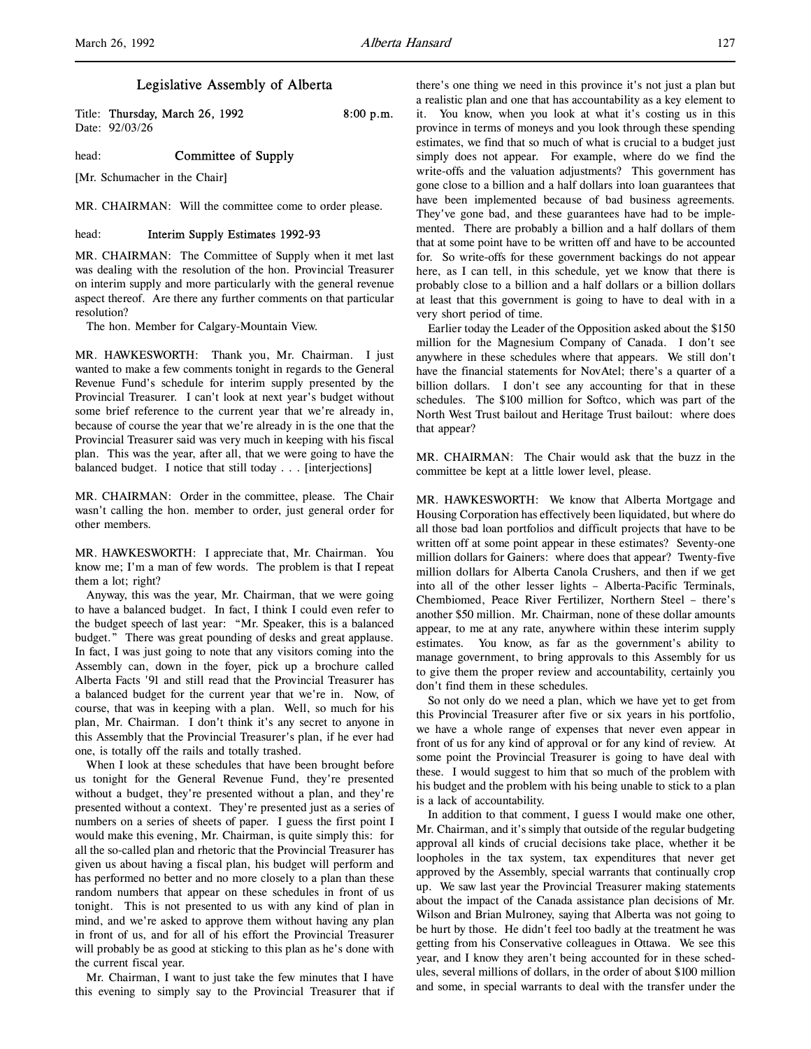l,

# Legislative Assembly of Alberta

Title: Thursday, March 26, 1992 8:00 p.m. Date: 92/03/26

head: **Committee of Supply** 

[Mr. Schumacher in the Chair]

MR. CHAIRMAN: Will the committee come to order please.

## head: **Interim Supply Estimates 1992-93**

MR. CHAIRMAN: The Committee of Supply when it met last was dealing with the resolution of the hon. Provincial Treasurer on interim supply and more particularly with the general revenue aspect thereof. Are there any further comments on that particular resolution?

The hon. Member for Calgary-Mountain View.

MR. HAWKESWORTH: Thank you, Mr. Chairman. I just wanted to make a few comments tonight in regards to the General Revenue Fund's schedule for interim supply presented by the Provincial Treasurer. I can't look at next year's budget without some brief reference to the current year that we're already in, because of course the year that we're already in is the one that the Provincial Treasurer said was very much in keeping with his fiscal plan. This was the year, after all, that we were going to have the balanced budget. I notice that still today . . . [interjections]

MR. CHAIRMAN: Order in the committee, please. The Chair wasn't calling the hon. member to order, just general order for other members.

MR. HAWKESWORTH: I appreciate that, Mr. Chairman. You know me; I'm a man of few words. The problem is that I repeat them a lot; right?

Anyway, this was the year, Mr. Chairman, that we were going to have a balanced budget. In fact, I think I could even refer to the budget speech of last year: "Mr. Speaker, this is a balanced budget." There was great pounding of desks and great applause. In fact, I was just going to note that any visitors coming into the Assembly can, down in the foyer, pick up a brochure called Alberta Facts '91 and still read that the Provincial Treasurer has a balanced budget for the current year that we're in. Now, of course, that was in keeping with a plan. Well, so much for his plan, Mr. Chairman. I don't think it's any secret to anyone in this Assembly that the Provincial Treasurer's plan, if he ever had one, is totally off the rails and totally trashed.

When I look at these schedules that have been brought before us tonight for the General Revenue Fund, they're presented without a budget, they're presented without a plan, and they're presented without a context. They're presented just as a series of numbers on a series of sheets of paper. I guess the first point I would make this evening, Mr. Chairman, is quite simply this: for all the so-called plan and rhetoric that the Provincial Treasurer has given us about having a fiscal plan, his budget will perform and has performed no better and no more closely to a plan than these random numbers that appear on these schedules in front of us tonight. This is not presented to us with any kind of plan in mind, and we're asked to approve them without having any plan in front of us, and for all of his effort the Provincial Treasurer will probably be as good at sticking to this plan as he's done with the current fiscal year.

Mr. Chairman, I want to just take the few minutes that I have this evening to simply say to the Provincial Treasurer that if there's one thing we need in this province it's not just a plan but a realistic plan and one that has accountability as a key element to it. You know, when you look at what it's costing us in this province in terms of moneys and you look through these spending estimates, we find that so much of what is crucial to a budget just simply does not appear. For example, where do we find the write-offs and the valuation adjustments? This government has gone close to a billion and a half dollars into loan guarantees that have been implemented because of bad business agreements. They've gone bad, and these guarantees have had to be implemented. There are probably a billion and a half dollars of them that at some point have to be written off and have to be accounted for. So write-offs for these government backings do not appear here, as I can tell, in this schedule, yet we know that there is probably close to a billion and a half dollars or a billion dollars at least that this government is going to have to deal with in a very short period of time.

Earlier today the Leader of the Opposition asked about the \$150 million for the Magnesium Company of Canada. I don't see anywhere in these schedules where that appears. We still don't have the financial statements for NovAtel; there's a quarter of a billion dollars. I don't see any accounting for that in these schedules. The \$100 million for Softco, which was part of the North West Trust bailout and Heritage Trust bailout: where does that appear?

MR. CHAIRMAN: The Chair would ask that the buzz in the committee be kept at a little lower level, please.

MR. HAWKESWORTH: We know that Alberta Mortgage and Housing Corporation has effectively been liquidated, but where do all those bad loan portfolios and difficult projects that have to be written off at some point appear in these estimates? Seventy-one million dollars for Gainers: where does that appear? Twenty-five million dollars for Alberta Canola Crushers, and then if we get into all of the other lesser lights – Alberta-Pacific Terminals, Chembiomed, Peace River Fertilizer, Northern Steel – there's another \$50 million. Mr. Chairman, none of these dollar amounts appear, to me at any rate, anywhere within these interim supply estimates. You know, as far as the government's ability to manage government, to bring approvals to this Assembly for us to give them the proper review and accountability, certainly you don't find them in these schedules.

So not only do we need a plan, which we have yet to get from this Provincial Treasurer after five or six years in his portfolio, we have a whole range of expenses that never even appear in front of us for any kind of approval or for any kind of review. At some point the Provincial Treasurer is going to have deal with these. I would suggest to him that so much of the problem with his budget and the problem with his being unable to stick to a plan is a lack of accountability.

In addition to that comment, I guess I would make one other, Mr. Chairman, and it's simply that outside of the regular budgeting approval all kinds of crucial decisions take place, whether it be loopholes in the tax system, tax expenditures that never get approved by the Assembly, special warrants that continually crop up. We saw last year the Provincial Treasurer making statements about the impact of the Canada assistance plan decisions of Mr. Wilson and Brian Mulroney, saying that Alberta was not going to be hurt by those. He didn't feel too badly at the treatment he was getting from his Conservative colleagues in Ottawa. We see this year, and I know they aren't being accounted for in these schedules, several millions of dollars, in the order of about \$100 million and some, in special warrants to deal with the transfer under the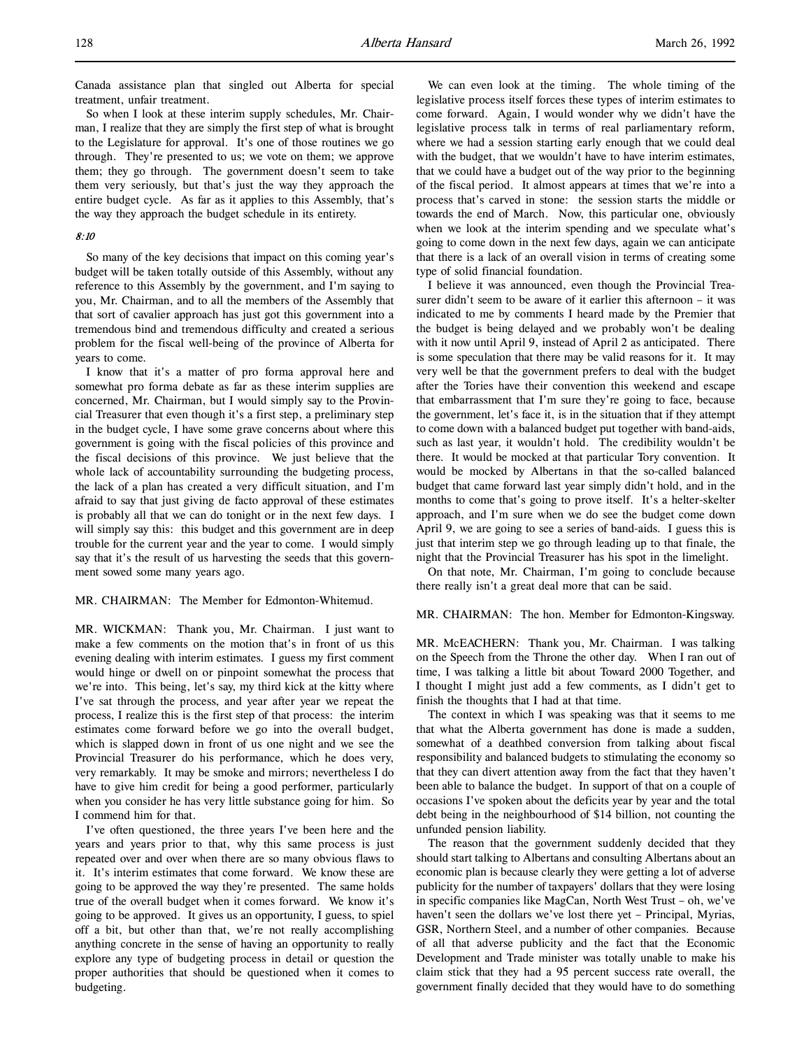So when I look at these interim supply schedules, Mr. Chairman, I realize that they are simply the first step of what is brought to the Legislature for approval. It's one of those routines we go through. They're presented to us; we vote on them; we approve them; they go through. The government doesn't seem to take them very seriously, but that's just the way they approach the entire budget cycle. As far as it applies to this Assembly, that's the way they approach the budget schedule in its entirety.

# 8:10

So many of the key decisions that impact on this coming year's budget will be taken totally outside of this Assembly, without any reference to this Assembly by the government, and I'm saying to you, Mr. Chairman, and to all the members of the Assembly that that sort of cavalier approach has just got this government into a tremendous bind and tremendous difficulty and created a serious problem for the fiscal well-being of the province of Alberta for years to come.

I know that it's a matter of pro forma approval here and somewhat pro forma debate as far as these interim supplies are concerned, Mr. Chairman, but I would simply say to the Provincial Treasurer that even though it's a first step, a preliminary step in the budget cycle, I have some grave concerns about where this government is going with the fiscal policies of this province and the fiscal decisions of this province. We just believe that the whole lack of accountability surrounding the budgeting process, the lack of a plan has created a very difficult situation, and I'm afraid to say that just giving de facto approval of these estimates is probably all that we can do tonight or in the next few days. I will simply say this: this budget and this government are in deep trouble for the current year and the year to come. I would simply say that it's the result of us harvesting the seeds that this government sowed some many years ago.

## MR. CHAIRMAN: The Member for Edmonton-Whitemud.

MR. WICKMAN: Thank you, Mr. Chairman. I just want to make a few comments on the motion that's in front of us this evening dealing with interim estimates. I guess my first comment would hinge or dwell on or pinpoint somewhat the process that we're into. This being, let's say, my third kick at the kitty where I've sat through the process, and year after year we repeat the process, I realize this is the first step of that process: the interim estimates come forward before we go into the overall budget, which is slapped down in front of us one night and we see the Provincial Treasurer do his performance, which he does very, very remarkably. It may be smoke and mirrors; nevertheless I do have to give him credit for being a good performer, particularly when you consider he has very little substance going for him. So I commend him for that.

I've often questioned, the three years I've been here and the years and years prior to that, why this same process is just repeated over and over when there are so many obvious flaws to it. It's interim estimates that come forward. We know these are going to be approved the way they're presented. The same holds true of the overall budget when it comes forward. We know it's going to be approved. It gives us an opportunity, I guess, to spiel off a bit, but other than that, we're not really accomplishing anything concrete in the sense of having an opportunity to really explore any type of budgeting process in detail or question the proper authorities that should be questioned when it comes to budgeting.

We can even look at the timing. The whole timing of the legislative process itself forces these types of interim estimates to come forward. Again, I would wonder why we didn't have the legislative process talk in terms of real parliamentary reform, where we had a session starting early enough that we could deal with the budget, that we wouldn't have to have interim estimates, that we could have a budget out of the way prior to the beginning of the fiscal period. It almost appears at times that we're into a process that's carved in stone: the session starts the middle or towards the end of March. Now, this particular one, obviously when we look at the interim spending and we speculate what's going to come down in the next few days, again we can anticipate that there is a lack of an overall vision in terms of creating some type of solid financial foundation.

I believe it was announced, even though the Provincial Treasurer didn't seem to be aware of it earlier this afternoon – it was indicated to me by comments I heard made by the Premier that the budget is being delayed and we probably won't be dealing with it now until April 9, instead of April 2 as anticipated. There is some speculation that there may be valid reasons for it. It may very well be that the government prefers to deal with the budget after the Tories have their convention this weekend and escape that embarrassment that I'm sure they're going to face, because the government, let's face it, is in the situation that if they attempt to come down with a balanced budget put together with band-aids, such as last year, it wouldn't hold. The credibility wouldn't be there. It would be mocked at that particular Tory convention. It would be mocked by Albertans in that the so-called balanced budget that came forward last year simply didn't hold, and in the months to come that's going to prove itself. It's a helter-skelter approach, and I'm sure when we do see the budget come down April 9, we are going to see a series of band-aids. I guess this is just that interim step we go through leading up to that finale, the night that the Provincial Treasurer has his spot in the limelight.

On that note, Mr. Chairman, I'm going to conclude because there really isn't a great deal more that can be said.

#### MR. CHAIRMAN: The hon. Member for Edmonton-Kingsway.

MR. McEACHERN: Thank you, Mr. Chairman. I was talking on the Speech from the Throne the other day. When I ran out of time, I was talking a little bit about Toward 2000 Together, and I thought I might just add a few comments, as I didn't get to finish the thoughts that I had at that time.

The context in which I was speaking was that it seems to me that what the Alberta government has done is made a sudden, somewhat of a deathbed conversion from talking about fiscal responsibility and balanced budgets to stimulating the economy so that they can divert attention away from the fact that they haven't been able to balance the budget. In support of that on a couple of occasions I've spoken about the deficits year by year and the total debt being in the neighbourhood of \$14 billion, not counting the unfunded pension liability.

The reason that the government suddenly decided that they should start talking to Albertans and consulting Albertans about an economic plan is because clearly they were getting a lot of adverse publicity for the number of taxpayers' dollars that they were losing in specific companies like MagCan, North West Trust – oh, we've haven't seen the dollars we've lost there yet – Principal, Myrias, GSR, Northern Steel, and a number of other companies. Because of all that adverse publicity and the fact that the Economic Development and Trade minister was totally unable to make his claim stick that they had a 95 percent success rate overall, the government finally decided that they would have to do something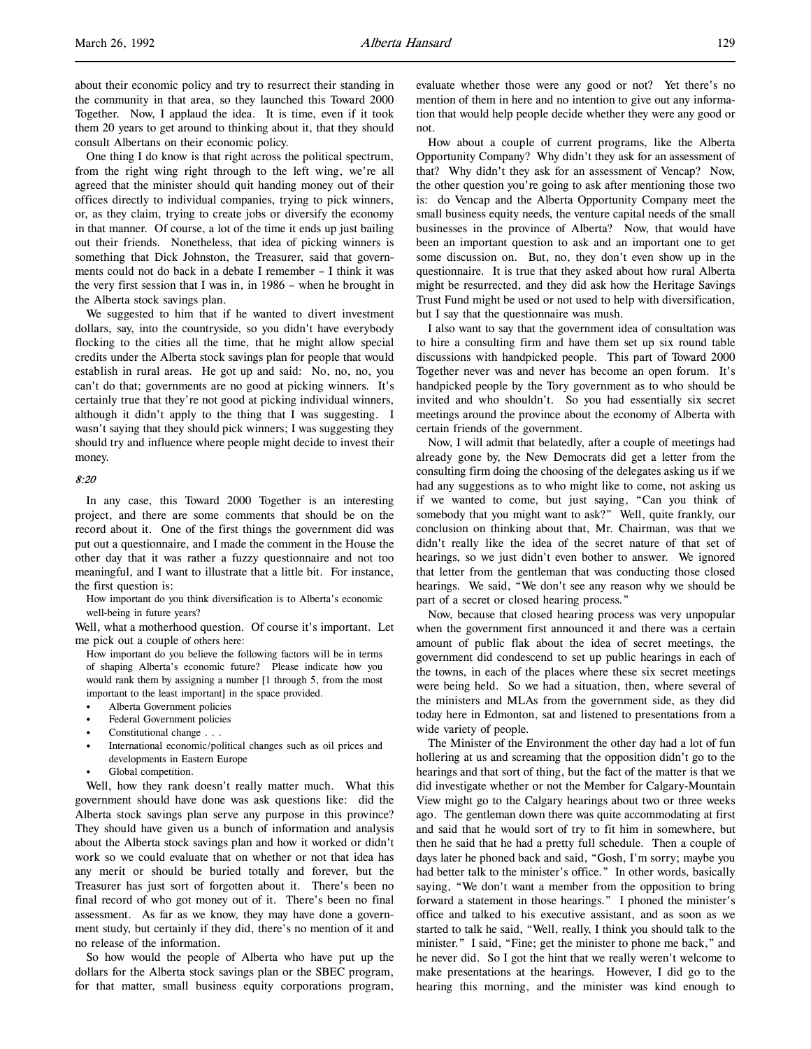about their economic policy and try to resurrect their standing in the community in that area, so they launched this Toward 2000 Together. Now, I applaud the idea. It is time, even if it took them 20 years to get around to thinking about it, that they should consult Albertans on their economic policy.

One thing I do know is that right across the political spectrum, from the right wing right through to the left wing, we're all agreed that the minister should quit handing money out of their offices directly to individual companies, trying to pick winners, or, as they claim, trying to create jobs or diversify the economy in that manner. Of course, a lot of the time it ends up just bailing out their friends. Nonetheless, that idea of picking winners is something that Dick Johnston, the Treasurer, said that governments could not do back in a debate I remember – I think it was the very first session that I was in, in 1986 – when he brought in the Alberta stock savings plan.

We suggested to him that if he wanted to divert investment dollars, say, into the countryside, so you didn't have everybody flocking to the cities all the time, that he might allow special credits under the Alberta stock savings plan for people that would establish in rural areas. He got up and said: No, no, no, you can't do that; governments are no good at picking winners. It's certainly true that they're not good at picking individual winners, although it didn't apply to the thing that I was suggesting. I wasn't saying that they should pick winners; I was suggesting they should try and influence where people might decide to invest their money.

## 8:20

In any case, this Toward 2000 Together is an interesting project, and there are some comments that should be on the record about it. One of the first things the government did was put out a questionnaire, and I made the comment in the House the other day that it was rather a fuzzy questionnaire and not too meaningful, and I want to illustrate that a little bit. For instance, the first question is:

How important do you think diversification is to Alberta's economic well-being in future years?

Well, what a motherhood question. Of course it's important. Let me pick out a couple of others here:

How important do you believe the following factors will be in terms of shaping Alberta's economic future? Please indicate how you would rank them by assigning a number [1 through 5, from the most important to the least important] in the space provided.

- Alberta Government policies
- Federal Government policies
- Constitutional change . . .
- International economic/political changes such as oil prices and developments in Eastern Europe
- Global competition.

Well, how they rank doesn't really matter much. What this government should have done was ask questions like: did the Alberta stock savings plan serve any purpose in this province? They should have given us a bunch of information and analysis about the Alberta stock savings plan and how it worked or didn't work so we could evaluate that on whether or not that idea has any merit or should be buried totally and forever, but the Treasurer has just sort of forgotten about it. There's been no final record of who got money out of it. There's been no final assessment. As far as we know, they may have done a government study, but certainly if they did, there's no mention of it and no release of the information.

So how would the people of Alberta who have put up the dollars for the Alberta stock savings plan or the SBEC program, for that matter, small business equity corporations program, evaluate whether those were any good or not? Yet there's no mention of them in here and no intention to give out any information that would help people decide whether they were any good or not.

How about a couple of current programs, like the Alberta Opportunity Company? Why didn't they ask for an assessment of that? Why didn't they ask for an assessment of Vencap? Now, the other question you're going to ask after mentioning those two is: do Vencap and the Alberta Opportunity Company meet the small business equity needs, the venture capital needs of the small businesses in the province of Alberta? Now, that would have been an important question to ask and an important one to get some discussion on. But, no, they don't even show up in the questionnaire. It is true that they asked about how rural Alberta might be resurrected, and they did ask how the Heritage Savings Trust Fund might be used or not used to help with diversification, but I say that the questionnaire was mush.

I also want to say that the government idea of consultation was to hire a consulting firm and have them set up six round table discussions with handpicked people. This part of Toward 2000 Together never was and never has become an open forum. It's handpicked people by the Tory government as to who should be invited and who shouldn't. So you had essentially six secret meetings around the province about the economy of Alberta with certain friends of the government.

Now, I will admit that belatedly, after a couple of meetings had already gone by, the New Democrats did get a letter from the consulting firm doing the choosing of the delegates asking us if we had any suggestions as to who might like to come, not asking us if we wanted to come, but just saying, "Can you think of somebody that you might want to ask?" Well, quite frankly, our conclusion on thinking about that, Mr. Chairman, was that we didn't really like the idea of the secret nature of that set of hearings, so we just didn't even bother to answer. We ignored that letter from the gentleman that was conducting those closed hearings. We said, "We don't see any reason why we should be part of a secret or closed hearing process."

Now, because that closed hearing process was very unpopular when the government first announced it and there was a certain amount of public flak about the idea of secret meetings, the government did condescend to set up public hearings in each of the towns, in each of the places where these six secret meetings were being held. So we had a situation, then, where several of the ministers and MLAs from the government side, as they did today here in Edmonton, sat and listened to presentations from a wide variety of people.

The Minister of the Environment the other day had a lot of fun hollering at us and screaming that the opposition didn't go to the hearings and that sort of thing, but the fact of the matter is that we did investigate whether or not the Member for Calgary-Mountain View might go to the Calgary hearings about two or three weeks ago. The gentleman down there was quite accommodating at first and said that he would sort of try to fit him in somewhere, but then he said that he had a pretty full schedule. Then a couple of days later he phoned back and said, "Gosh, I'm sorry; maybe you had better talk to the minister's office." In other words, basically saying, "We don't want a member from the opposition to bring forward a statement in those hearings." I phoned the minister's office and talked to his executive assistant, and as soon as we started to talk he said, "Well, really, I think you should talk to the minister." I said, "Fine; get the minister to phone me back," and he never did. So I got the hint that we really weren't welcome to make presentations at the hearings. However, I did go to the hearing this morning, and the minister was kind enough to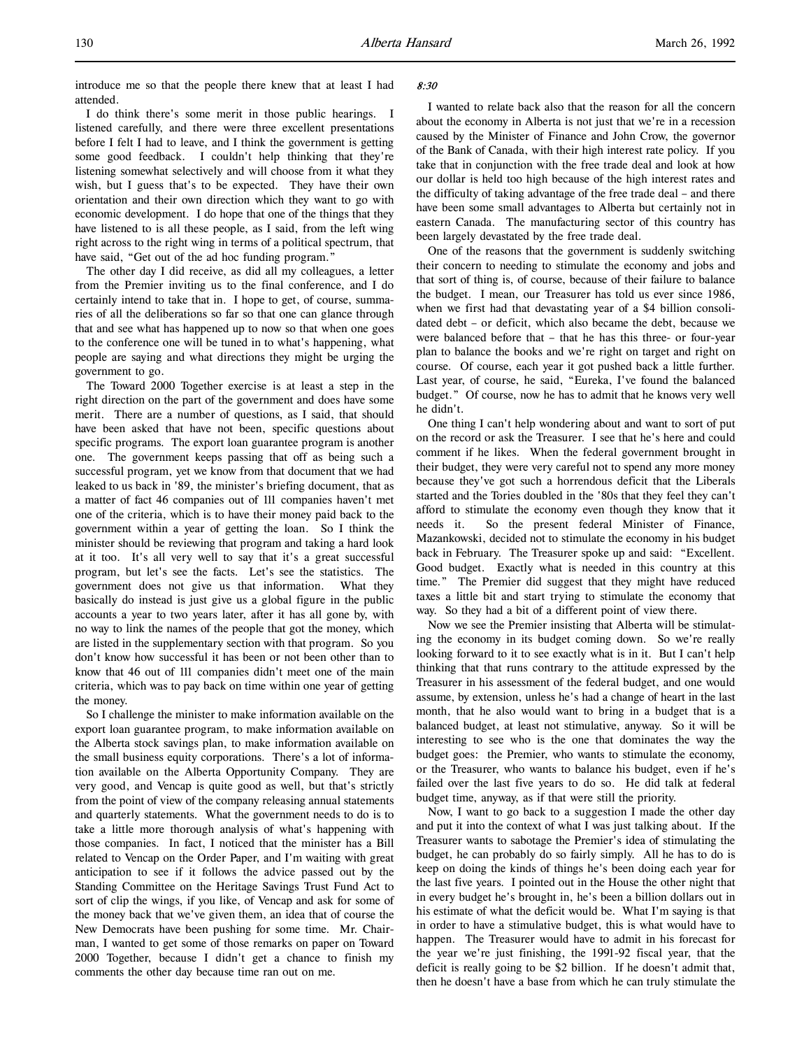I do think there's some merit in those public hearings. I listened carefully, and there were three excellent presentations before I felt I had to leave, and I think the government is getting some good feedback. I couldn't help thinking that they're listening somewhat selectively and will choose from it what they wish, but I guess that's to be expected. They have their own orientation and their own direction which they want to go with economic development. I do hope that one of the things that they have listened to is all these people, as I said, from the left wing right across to the right wing in terms of a political spectrum, that have said, "Get out of the ad hoc funding program."

The other day I did receive, as did all my colleagues, a letter from the Premier inviting us to the final conference, and I do certainly intend to take that in. I hope to get, of course, summaries of all the deliberations so far so that one can glance through that and see what has happened up to now so that when one goes to the conference one will be tuned in to what's happening, what people are saying and what directions they might be urging the government to go.

The Toward 2000 Together exercise is at least a step in the right direction on the part of the government and does have some merit. There are a number of questions, as I said, that should have been asked that have not been, specific questions about specific programs. The export loan guarantee program is another one. The government keeps passing that off as being such a successful program, yet we know from that document that we had leaked to us back in '89, the minister's briefing document, that as a matter of fact 46 companies out of 111 companies haven't met one of the criteria, which is to have their money paid back to the government within a year of getting the loan. So I think the minister should be reviewing that program and taking a hard look at it too. It's all very well to say that it's a great successful program, but let's see the facts. Let's see the statistics. The government does not give us that information. What they basically do instead is just give us a global figure in the public accounts a year to two years later, after it has all gone by, with no way to link the names of the people that got the money, which are listed in the supplementary section with that program. So you don't know how successful it has been or not been other than to know that 46 out of 111 companies didn't meet one of the main criteria, which was to pay back on time within one year of getting the money.

So I challenge the minister to make information available on the export loan guarantee program, to make information available on the Alberta stock savings plan, to make information available on the small business equity corporations. There's a lot of information available on the Alberta Opportunity Company. They are very good, and Vencap is quite good as well, but that's strictly from the point of view of the company releasing annual statements and quarterly statements. What the government needs to do is to take a little more thorough analysis of what's happening with those companies. In fact, I noticed that the minister has a Bill related to Vencap on the Order Paper, and I'm waiting with great anticipation to see if it follows the advice passed out by the Standing Committee on the Heritage Savings Trust Fund Act to sort of clip the wings, if you like, of Vencap and ask for some of the money back that we've given them, an idea that of course the New Democrats have been pushing for some time. Mr. Chairman, I wanted to get some of those remarks on paper on Toward 2000 Together, because I didn't get a chance to finish my comments the other day because time ran out on me.

## 8:30

I wanted to relate back also that the reason for all the concern about the economy in Alberta is not just that we're in a recession caused by the Minister of Finance and John Crow, the governor of the Bank of Canada, with their high interest rate policy. If you take that in conjunction with the free trade deal and look at how our dollar is held too high because of the high interest rates and the difficulty of taking advantage of the free trade deal – and there have been some small advantages to Alberta but certainly not in eastern Canada. The manufacturing sector of this country has been largely devastated by the free trade deal.

One of the reasons that the government is suddenly switching their concern to needing to stimulate the economy and jobs and that sort of thing is, of course, because of their failure to balance the budget. I mean, our Treasurer has told us ever since 1986, when we first had that devastating year of a \$4 billion consolidated debt – or deficit, which also became the debt, because we were balanced before that – that he has this three- or four-year plan to balance the books and we're right on target and right on course. Of course, each year it got pushed back a little further. Last year, of course, he said, "Eureka, I've found the balanced budget." Of course, now he has to admit that he knows very well he didn't.

One thing I can't help wondering about and want to sort of put on the record or ask the Treasurer. I see that he's here and could comment if he likes. When the federal government brought in their budget, they were very careful not to spend any more money because they've got such a horrendous deficit that the Liberals started and the Tories doubled in the '80s that they feel they can't afford to stimulate the economy even though they know that it needs it. So the present federal Minister of Finance, Mazankowski, decided not to stimulate the economy in his budget back in February. The Treasurer spoke up and said: "Excellent. Good budget. Exactly what is needed in this country at this time." The Premier did suggest that they might have reduced taxes a little bit and start trying to stimulate the economy that way. So they had a bit of a different point of view there.

Now we see the Premier insisting that Alberta will be stimulating the economy in its budget coming down. So we're really looking forward to it to see exactly what is in it. But I can't help thinking that that runs contrary to the attitude expressed by the Treasurer in his assessment of the federal budget, and one would assume, by extension, unless he's had a change of heart in the last month, that he also would want to bring in a budget that is a balanced budget, at least not stimulative, anyway. So it will be interesting to see who is the one that dominates the way the budget goes: the Premier, who wants to stimulate the economy, or the Treasurer, who wants to balance his budget, even if he's failed over the last five years to do so. He did talk at federal budget time, anyway, as if that were still the priority.

Now, I want to go back to a suggestion I made the other day and put it into the context of what I was just talking about. If the Treasurer wants to sabotage the Premier's idea of stimulating the budget, he can probably do so fairly simply. All he has to do is keep on doing the kinds of things he's been doing each year for the last five years. I pointed out in the House the other night that in every budget he's brought in, he's been a billion dollars out in his estimate of what the deficit would be. What I'm saying is that in order to have a stimulative budget, this is what would have to happen. The Treasurer would have to admit in his forecast for the year we're just finishing, the 1991-92 fiscal year, that the deficit is really going to be \$2 billion. If he doesn't admit that, then he doesn't have a base from which he can truly stimulate the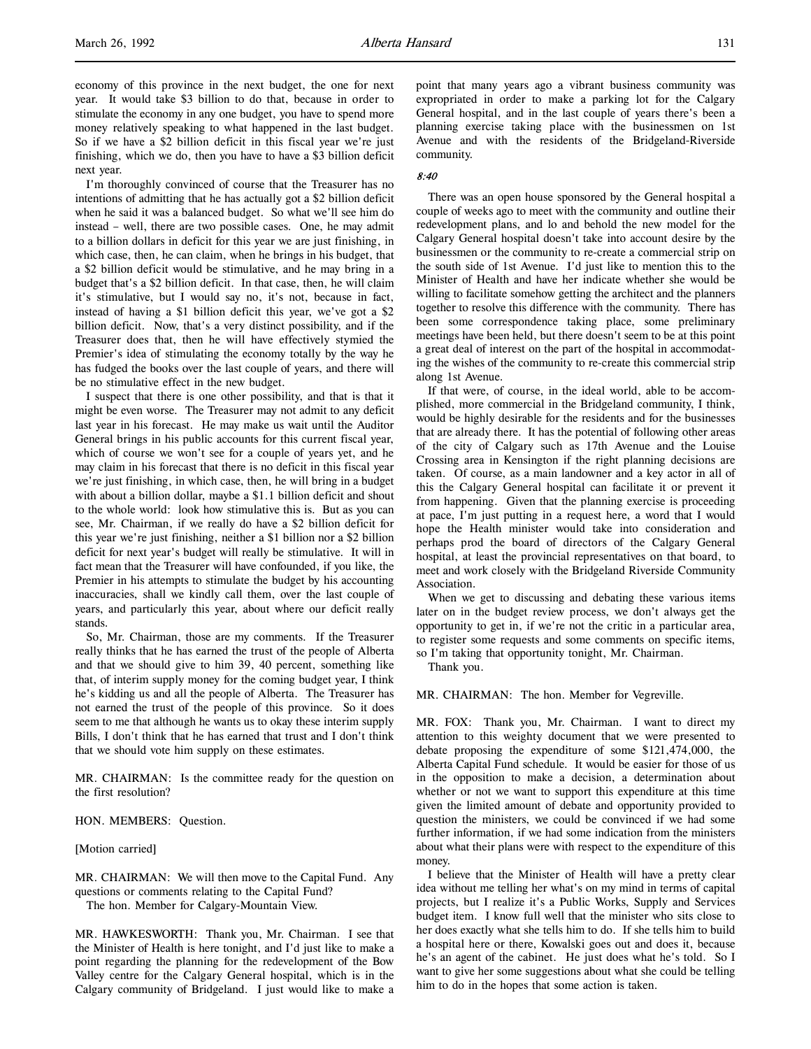I'm thoroughly convinced of course that the Treasurer has no intentions of admitting that he has actually got a \$2 billion deficit when he said it was a balanced budget. So what we'll see him do instead – well, there are two possible cases. One, he may admit to a billion dollars in deficit for this year we are just finishing, in which case, then, he can claim, when he brings in his budget, that a \$2 billion deficit would be stimulative, and he may bring in a budget that's a \$2 billion deficit. In that case, then, he will claim it's stimulative, but I would say no, it's not, because in fact, instead of having a \$1 billion deficit this year, we've got a \$2 billion deficit. Now, that's a very distinct possibility, and if the Treasurer does that, then he will have effectively stymied the Premier's idea of stimulating the economy totally by the way he has fudged the books over the last couple of years, and there will be no stimulative effect in the new budget.

I suspect that there is one other possibility, and that is that it might be even worse. The Treasurer may not admit to any deficit last year in his forecast. He may make us wait until the Auditor General brings in his public accounts for this current fiscal year, which of course we won't see for a couple of years yet, and he may claim in his forecast that there is no deficit in this fiscal year we're just finishing, in which case, then, he will bring in a budget with about a billion dollar, maybe a \$1.1 billion deficit and shout to the whole world: look how stimulative this is. But as you can see, Mr. Chairman, if we really do have a \$2 billion deficit for this year we're just finishing, neither a \$1 billion nor a \$2 billion deficit for next year's budget will really be stimulative. It will in fact mean that the Treasurer will have confounded, if you like, the Premier in his attempts to stimulate the budget by his accounting inaccuracies, shall we kindly call them, over the last couple of years, and particularly this year, about where our deficit really stands.

So, Mr. Chairman, those are my comments. If the Treasurer really thinks that he has earned the trust of the people of Alberta and that we should give to him 39, 40 percent, something like that, of interim supply money for the coming budget year, I think he's kidding us and all the people of Alberta. The Treasurer has not earned the trust of the people of this province. So it does seem to me that although he wants us to okay these interim supply Bills, I don't think that he has earned that trust and I don't think that we should vote him supply on these estimates.

MR. CHAIRMAN: Is the committee ready for the question on the first resolution?

HON. MEMBERS: Question.

[Motion carried]

MR. CHAIRMAN: We will then move to the Capital Fund. Any questions or comments relating to the Capital Fund?

The hon. Member for Calgary-Mountain View.

MR. HAWKESWORTH: Thank you, Mr. Chairman. I see that the Minister of Health is here tonight, and I'd just like to make a point regarding the planning for the redevelopment of the Bow Valley centre for the Calgary General hospital, which is in the Calgary community of Bridgeland. I just would like to make a

point that many years ago a vibrant business community was expropriated in order to make a parking lot for the Calgary General hospital, and in the last couple of years there's been a planning exercise taking place with the businessmen on 1st Avenue and with the residents of the Bridgeland-Riverside community.

## 8:40

There was an open house sponsored by the General hospital a couple of weeks ago to meet with the community and outline their redevelopment plans, and lo and behold the new model for the Calgary General hospital doesn't take into account desire by the businessmen or the community to re-create a commercial strip on the south side of 1st Avenue. I'd just like to mention this to the Minister of Health and have her indicate whether she would be willing to facilitate somehow getting the architect and the planners together to resolve this difference with the community. There has been some correspondence taking place, some preliminary meetings have been held, but there doesn't seem to be at this point a great deal of interest on the part of the hospital in accommodating the wishes of the community to re-create this commercial strip along 1st Avenue.

If that were, of course, in the ideal world, able to be accomplished, more commercial in the Bridgeland community, I think, would be highly desirable for the residents and for the businesses that are already there. It has the potential of following other areas of the city of Calgary such as 17th Avenue and the Louise Crossing area in Kensington if the right planning decisions are taken. Of course, as a main landowner and a key actor in all of this the Calgary General hospital can facilitate it or prevent it from happening. Given that the planning exercise is proceeding at pace, I'm just putting in a request here, a word that I would hope the Health minister would take into consideration and perhaps prod the board of directors of the Calgary General hospital, at least the provincial representatives on that board, to meet and work closely with the Bridgeland Riverside Community Association.

When we get to discussing and debating these various items later on in the budget review process, we don't always get the opportunity to get in, if we're not the critic in a particular area, to register some requests and some comments on specific items, so I'm taking that opportunity tonight, Mr. Chairman.

Thank you.

MR. CHAIRMAN: The hon. Member for Vegreville.

MR. FOX: Thank you, Mr. Chairman. I want to direct my attention to this weighty document that we were presented to debate proposing the expenditure of some \$121,474,000, the Alberta Capital Fund schedule. It would be easier for those of us in the opposition to make a decision, a determination about whether or not we want to support this expenditure at this time given the limited amount of debate and opportunity provided to question the ministers, we could be convinced if we had some further information, if we had some indication from the ministers about what their plans were with respect to the expenditure of this money.

I believe that the Minister of Health will have a pretty clear idea without me telling her what's on my mind in terms of capital projects, but I realize it's a Public Works, Supply and Services budget item. I know full well that the minister who sits close to her does exactly what she tells him to do. If she tells him to build a hospital here or there, Kowalski goes out and does it, because he's an agent of the cabinet. He just does what he's told. So I want to give her some suggestions about what she could be telling him to do in the hopes that some action is taken.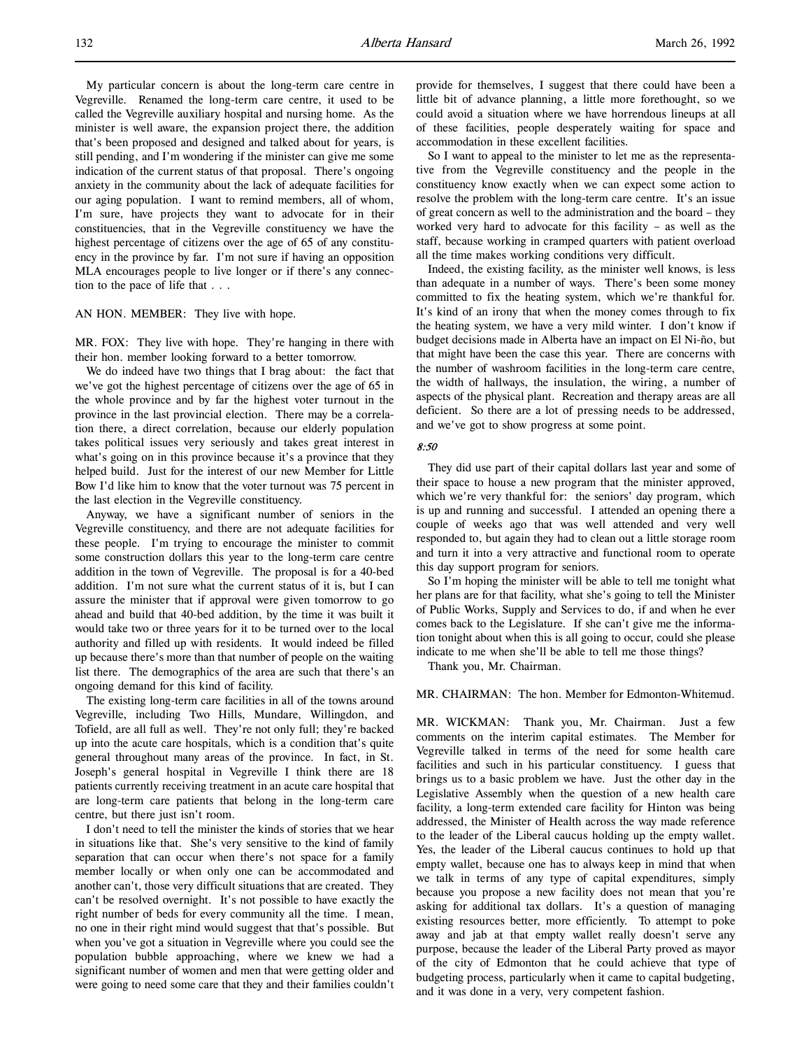My particular concern is about the long-term care centre in Vegreville. Renamed the long-term care centre, it used to be called the Vegreville auxiliary hospital and nursing home. As the minister is well aware, the expansion project there, the addition that's been proposed and designed and talked about for years, is still pending, and I'm wondering if the minister can give me some indication of the current status of that proposal. There's ongoing anxiety in the community about the lack of adequate facilities for our aging population. I want to remind members, all of whom, I'm sure, have projects they want to advocate for in their constituencies, that in the Vegreville constituency we have the highest percentage of citizens over the age of 65 of any constituency in the province by far. I'm not sure if having an opposition MLA encourages people to live longer or if there's any connection to the pace of life that . . .

## AN HON. MEMBER: They live with hope.

MR. FOX: They live with hope. They're hanging in there with their hon. member looking forward to a better tomorrow.

We do indeed have two things that I brag about: the fact that we've got the highest percentage of citizens over the age of 65 in the whole province and by far the highest voter turnout in the province in the last provincial election. There may be a correlation there, a direct correlation, because our elderly population takes political issues very seriously and takes great interest in what's going on in this province because it's a province that they helped build. Just for the interest of our new Member for Little Bow I'd like him to know that the voter turnout was 75 percent in the last election in the Vegreville constituency.

Anyway, we have a significant number of seniors in the Vegreville constituency, and there are not adequate facilities for these people. I'm trying to encourage the minister to commit some construction dollars this year to the long-term care centre addition in the town of Vegreville. The proposal is for a 40-bed addition. I'm not sure what the current status of it is, but I can assure the minister that if approval were given tomorrow to go ahead and build that 40-bed addition, by the time it was built it would take two or three years for it to be turned over to the local authority and filled up with residents. It would indeed be filled up because there's more than that number of people on the waiting list there. The demographics of the area are such that there's an ongoing demand for this kind of facility.

The existing long-term care facilities in all of the towns around Vegreville, including Two Hills, Mundare, Willingdon, and Tofield, are all full as well. They're not only full; they're backed up into the acute care hospitals, which is a condition that's quite general throughout many areas of the province. In fact, in St. Joseph's general hospital in Vegreville I think there are 18 patients currently receiving treatment in an acute care hospital that are long-term care patients that belong in the long-term care centre, but there just isn't room.

I don't need to tell the minister the kinds of stories that we hear in situations like that. She's very sensitive to the kind of family separation that can occur when there's not space for a family member locally or when only one can be accommodated and another can't, those very difficult situations that are created. They can't be resolved overnight. It's not possible to have exactly the right number of beds for every community all the time. I mean, no one in their right mind would suggest that that's possible. But when you've got a situation in Vegreville where you could see the population bubble approaching, where we knew we had a significant number of women and men that were getting older and were going to need some care that they and their families couldn't provide for themselves, I suggest that there could have been a little bit of advance planning, a little more forethought, so we could avoid a situation where we have horrendous lineups at all of these facilities, people desperately waiting for space and accommodation in these excellent facilities.

So I want to appeal to the minister to let me as the representative from the Vegreville constituency and the people in the constituency know exactly when we can expect some action to resolve the problem with the long-term care centre. It's an issue of great concern as well to the administration and the board – they worked very hard to advocate for this facility – as well as the staff, because working in cramped quarters with patient overload all the time makes working conditions very difficult.

Indeed, the existing facility, as the minister well knows, is less than adequate in a number of ways. There's been some money committed to fix the heating system, which we're thankful for. It's kind of an irony that when the money comes through to fix the heating system, we have a very mild winter. I don't know if budget decisions made in Alberta have an impact on El Ni-ño, but that might have been the case this year. There are concerns with the number of washroom facilities in the long-term care centre, the width of hallways, the insulation, the wiring, a number of aspects of the physical plant. Recreation and therapy areas are all deficient. So there are a lot of pressing needs to be addressed, and we've got to show progress at some point.

#### 8:50

They did use part of their capital dollars last year and some of their space to house a new program that the minister approved, which we're very thankful for: the seniors' day program, which is up and running and successful. I attended an opening there a couple of weeks ago that was well attended and very well responded to, but again they had to clean out a little storage room and turn it into a very attractive and functional room to operate this day support program for seniors.

So I'm hoping the minister will be able to tell me tonight what her plans are for that facility, what she's going to tell the Minister of Public Works, Supply and Services to do, if and when he ever comes back to the Legislature. If she can't give me the information tonight about when this is all going to occur, could she please indicate to me when she'll be able to tell me those things?

Thank you, Mr. Chairman.

#### MR. CHAIRMAN: The hon. Member for Edmonton-Whitemud.

MR. WICKMAN: Thank you, Mr. Chairman. Just a few comments on the interim capital estimates. The Member for Vegreville talked in terms of the need for some health care facilities and such in his particular constituency. I guess that brings us to a basic problem we have. Just the other day in the Legislative Assembly when the question of a new health care facility, a long-term extended care facility for Hinton was being addressed, the Minister of Health across the way made reference to the leader of the Liberal caucus holding up the empty wallet. Yes, the leader of the Liberal caucus continues to hold up that empty wallet, because one has to always keep in mind that when we talk in terms of any type of capital expenditures, simply because you propose a new facility does not mean that you're asking for additional tax dollars. It's a question of managing existing resources better, more efficiently. To attempt to poke away and jab at that empty wallet really doesn't serve any purpose, because the leader of the Liberal Party proved as mayor of the city of Edmonton that he could achieve that type of budgeting process, particularly when it came to capital budgeting, and it was done in a very, very competent fashion.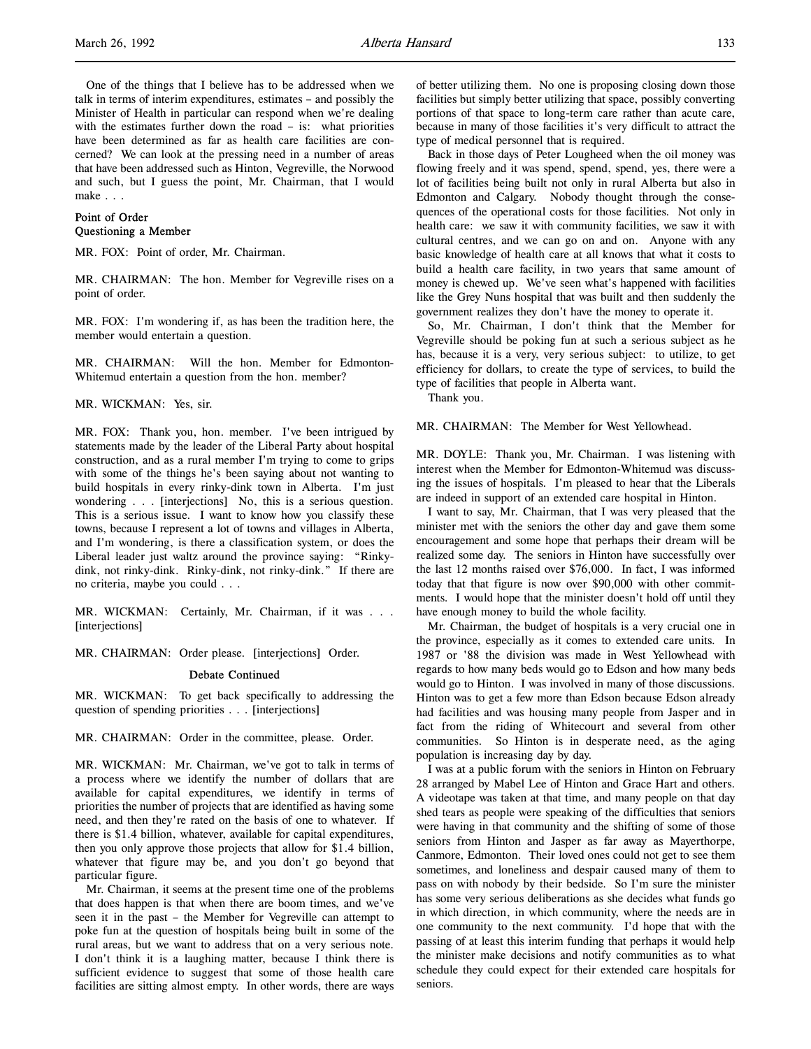One of the things that I believe has to be addressed when we talk in terms of interim expenditures, estimates – and possibly the Minister of Health in particular can respond when we're dealing with the estimates further down the road - is: what priorities have been determined as far as health care facilities are concerned? We can look at the pressing need in a number of areas that have been addressed such as Hinton, Vegreville, the Norwood and such, but I guess the point, Mr. Chairman, that I would make . . .

# Point of Order Questioning a Member

MR. FOX: Point of order, Mr. Chairman.

MR. CHAIRMAN: The hon. Member for Vegreville rises on a point of order.

MR. FOX: I'm wondering if, as has been the tradition here, the member would entertain a question.

MR. CHAIRMAN: Will the hon. Member for Edmonton-Whitemud entertain a question from the hon. member?

MR. WICKMAN: Yes, sir.

MR. FOX: Thank you, hon. member. I've been intrigued by statements made by the leader of the Liberal Party about hospital construction, and as a rural member I'm trying to come to grips with some of the things he's been saying about not wanting to build hospitals in every rinky-dink town in Alberta. I'm just wondering . . . [interjections] No, this is a serious question. This is a serious issue. I want to know how you classify these towns, because I represent a lot of towns and villages in Alberta, and I'm wondering, is there a classification system, or does the Liberal leader just waltz around the province saying: "Rinkydink, not rinky-dink. Rinky-dink, not rinky-dink." If there are no criteria, maybe you could . . .

MR. WICKMAN: Certainly, Mr. Chairman, if it was . . . [interjections]

MR. CHAIRMAN: Order please. [interjections] Order.

#### Debate Continued

MR. WICKMAN: To get back specifically to addressing the question of spending priorities . . . [interjections]

MR. CHAIRMAN: Order in the committee, please. Order.

MR. WICKMAN: Mr. Chairman, we've got to talk in terms of a process where we identify the number of dollars that are available for capital expenditures, we identify in terms of priorities the number of projects that are identified as having some need, and then they're rated on the basis of one to whatever. If there is \$1.4 billion, whatever, available for capital expenditures, then you only approve those projects that allow for \$1.4 billion, whatever that figure may be, and you don't go beyond that particular figure.

Mr. Chairman, it seems at the present time one of the problems that does happen is that when there are boom times, and we've seen it in the past – the Member for Vegreville can attempt to poke fun at the question of hospitals being built in some of the rural areas, but we want to address that on a very serious note. I don't think it is a laughing matter, because I think there is sufficient evidence to suggest that some of those health care facilities are sitting almost empty. In other words, there are ways

of better utilizing them. No one is proposing closing down those facilities but simply better utilizing that space, possibly converting portions of that space to long-term care rather than acute care, because in many of those facilities it's very difficult to attract the type of medical personnel that is required.

Back in those days of Peter Lougheed when the oil money was flowing freely and it was spend, spend, spend, yes, there were a lot of facilities being built not only in rural Alberta but also in Edmonton and Calgary. Nobody thought through the consequences of the operational costs for those facilities. Not only in health care: we saw it with community facilities, we saw it with cultural centres, and we can go on and on. Anyone with any basic knowledge of health care at all knows that what it costs to build a health care facility, in two years that same amount of money is chewed up. We've seen what's happened with facilities like the Grey Nuns hospital that was built and then suddenly the government realizes they don't have the money to operate it.

So, Mr. Chairman, I don't think that the Member for Vegreville should be poking fun at such a serious subject as he has, because it is a very, very serious subject: to utilize, to get efficiency for dollars, to create the type of services, to build the type of facilities that people in Alberta want.

Thank you.

MR. CHAIRMAN: The Member for West Yellowhead.

MR. DOYLE: Thank you, Mr. Chairman. I was listening with interest when the Member for Edmonton-Whitemud was discussing the issues of hospitals. I'm pleased to hear that the Liberals are indeed in support of an extended care hospital in Hinton.

I want to say, Mr. Chairman, that I was very pleased that the minister met with the seniors the other day and gave them some encouragement and some hope that perhaps their dream will be realized some day. The seniors in Hinton have successfully over the last 12 months raised over \$76,000. In fact, I was informed today that that figure is now over \$90,000 with other commitments. I would hope that the minister doesn't hold off until they have enough money to build the whole facility.

Mr. Chairman, the budget of hospitals is a very crucial one in the province, especially as it comes to extended care units. In 1987 or '88 the division was made in West Yellowhead with regards to how many beds would go to Edson and how many beds would go to Hinton. I was involved in many of those discussions. Hinton was to get a few more than Edson because Edson already had facilities and was housing many people from Jasper and in fact from the riding of Whitecourt and several from other communities. So Hinton is in desperate need, as the aging population is increasing day by day.

I was at a public forum with the seniors in Hinton on February 28 arranged by Mabel Lee of Hinton and Grace Hart and others. A videotape was taken at that time, and many people on that day shed tears as people were speaking of the difficulties that seniors were having in that community and the shifting of some of those seniors from Hinton and Jasper as far away as Mayerthorpe, Canmore, Edmonton. Their loved ones could not get to see them sometimes, and loneliness and despair caused many of them to pass on with nobody by their bedside. So I'm sure the minister has some very serious deliberations as she decides what funds go in which direction, in which community, where the needs are in one community to the next community. I'd hope that with the passing of at least this interim funding that perhaps it would help the minister make decisions and notify communities as to what schedule they could expect for their extended care hospitals for seniors.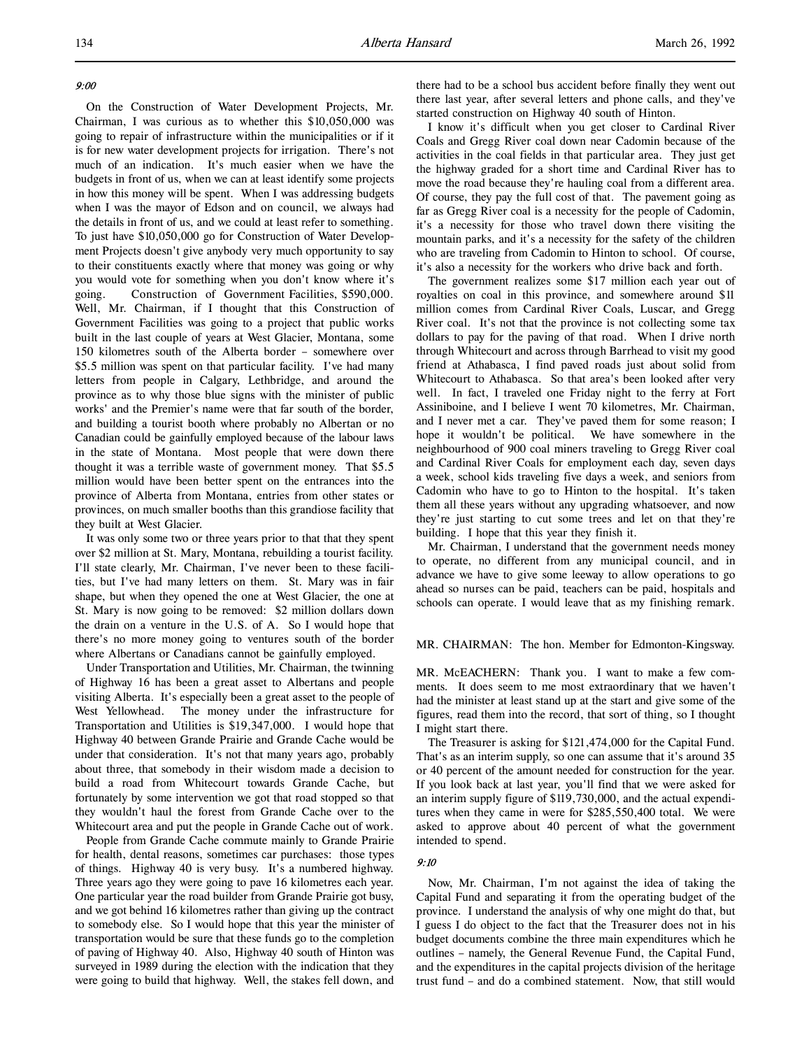## 9:00

On the Construction of Water Development Projects, Mr. Chairman, I was curious as to whether this \$10,050,000 was going to repair of infrastructure within the municipalities or if it is for new water development projects for irrigation. There's not much of an indication. It's much easier when we have the budgets in front of us, when we can at least identify some projects in how this money will be spent. When I was addressing budgets when I was the mayor of Edson and on council, we always had the details in front of us, and we could at least refer to something. To just have \$10,050,000 go for Construction of Water Development Projects doesn't give anybody very much opportunity to say to their constituents exactly where that money was going or why you would vote for something when you don't know where it's going. Construction of Government Facilities, \$590,000. Well, Mr. Chairman, if I thought that this Construction of Government Facilities was going to a project that public works built in the last couple of years at West Glacier, Montana, some 150 kilometres south of the Alberta border – somewhere over \$5.5 million was spent on that particular facility. I've had many letters from people in Calgary, Lethbridge, and around the province as to why those blue signs with the minister of public works' and the Premier's name were that far south of the border, and building a tourist booth where probably no Albertan or no Canadian could be gainfully employed because of the labour laws in the state of Montana. Most people that were down there thought it was a terrible waste of government money. That \$5.5 million would have been better spent on the entrances into the province of Alberta from Montana, entries from other states or provinces, on much smaller booths than this grandiose facility that they built at West Glacier.

It was only some two or three years prior to that that they spent over \$2 million at St. Mary, Montana, rebuilding a tourist facility. I'll state clearly, Mr. Chairman, I've never been to these facilities, but I've had many letters on them. St. Mary was in fair shape, but when they opened the one at West Glacier, the one at St. Mary is now going to be removed: \$2 million dollars down the drain on a venture in the U.S. of A. So I would hope that there's no more money going to ventures south of the border where Albertans or Canadians cannot be gainfully employed.

Under Transportation and Utilities, Mr. Chairman, the twinning of Highway 16 has been a great asset to Albertans and people visiting Alberta. It's especially been a great asset to the people of West Yellowhead. The money under the infrastructure for Transportation and Utilities is \$19,347,000. I would hope that Highway 40 between Grande Prairie and Grande Cache would be under that consideration. It's not that many years ago, probably about three, that somebody in their wisdom made a decision to build a road from Whitecourt towards Grande Cache, but fortunately by some intervention we got that road stopped so that they wouldn't haul the forest from Grande Cache over to the Whitecourt area and put the people in Grande Cache out of work.

People from Grande Cache commute mainly to Grande Prairie for health, dental reasons, sometimes car purchases: those types of things. Highway 40 is very busy. It's a numbered highway. Three years ago they were going to pave 16 kilometres each year. One particular year the road builder from Grande Prairie got busy, and we got behind 16 kilometres rather than giving up the contract to somebody else. So I would hope that this year the minister of transportation would be sure that these funds go to the completion of paving of Highway 40. Also, Highway 40 south of Hinton was surveyed in 1989 during the election with the indication that they were going to build that highway. Well, the stakes fell down, and

there had to be a school bus accident before finally they went out there last year, after several letters and phone calls, and they've started construction on Highway 40 south of Hinton.

I know it's difficult when you get closer to Cardinal River Coals and Gregg River coal down near Cadomin because of the activities in the coal fields in that particular area. They just get the highway graded for a short time and Cardinal River has to move the road because they're hauling coal from a different area. Of course, they pay the full cost of that. The pavement going as far as Gregg River coal is a necessity for the people of Cadomin, it's a necessity for those who travel down there visiting the mountain parks, and it's a necessity for the safety of the children who are traveling from Cadomin to Hinton to school. Of course, it's also a necessity for the workers who drive back and forth.

The government realizes some \$17 million each year out of royalties on coal in this province, and somewhere around \$11 million comes from Cardinal River Coals, Luscar, and Gregg River coal. It's not that the province is not collecting some tax dollars to pay for the paving of that road. When I drive north through Whitecourt and across through Barrhead to visit my good friend at Athabasca, I find paved roads just about solid from Whitecourt to Athabasca. So that area's been looked after very well. In fact, I traveled one Friday night to the ferry at Fort Assiniboine, and I believe I went 70 kilometres, Mr. Chairman, and I never met a car. They've paved them for some reason; I hope it wouldn't be political. We have somewhere in the neighbourhood of 900 coal miners traveling to Gregg River coal and Cardinal River Coals for employment each day, seven days a week, school kids traveling five days a week, and seniors from Cadomin who have to go to Hinton to the hospital. It's taken them all these years without any upgrading whatsoever, and now they're just starting to cut some trees and let on that they're building. I hope that this year they finish it.

Mr. Chairman, I understand that the government needs money to operate, no different from any municipal council, and in advance we have to give some leeway to allow operations to go ahead so nurses can be paid, teachers can be paid, hospitals and schools can operate. I would leave that as my finishing remark.

#### MR. CHAIRMAN: The hon. Member for Edmonton-Kingsway.

MR. McEACHERN: Thank you. I want to make a few comments. It does seem to me most extraordinary that we haven't had the minister at least stand up at the start and give some of the figures, read them into the record, that sort of thing, so I thought I might start there.

The Treasurer is asking for \$121,474,000 for the Capital Fund. That's as an interim supply, so one can assume that it's around 35 or 40 percent of the amount needed for construction for the year. If you look back at last year, you'll find that we were asked for an interim supply figure of \$119,730,000, and the actual expenditures when they came in were for \$285,550,400 total. We were asked to approve about 40 percent of what the government intended to spend.

## 9:10

Now, Mr. Chairman, I'm not against the idea of taking the Capital Fund and separating it from the operating budget of the province. I understand the analysis of why one might do that, but I guess I do object to the fact that the Treasurer does not in his budget documents combine the three main expenditures which he outlines – namely, the General Revenue Fund, the Capital Fund, and the expenditures in the capital projects division of the heritage trust fund – and do a combined statement. Now, that still would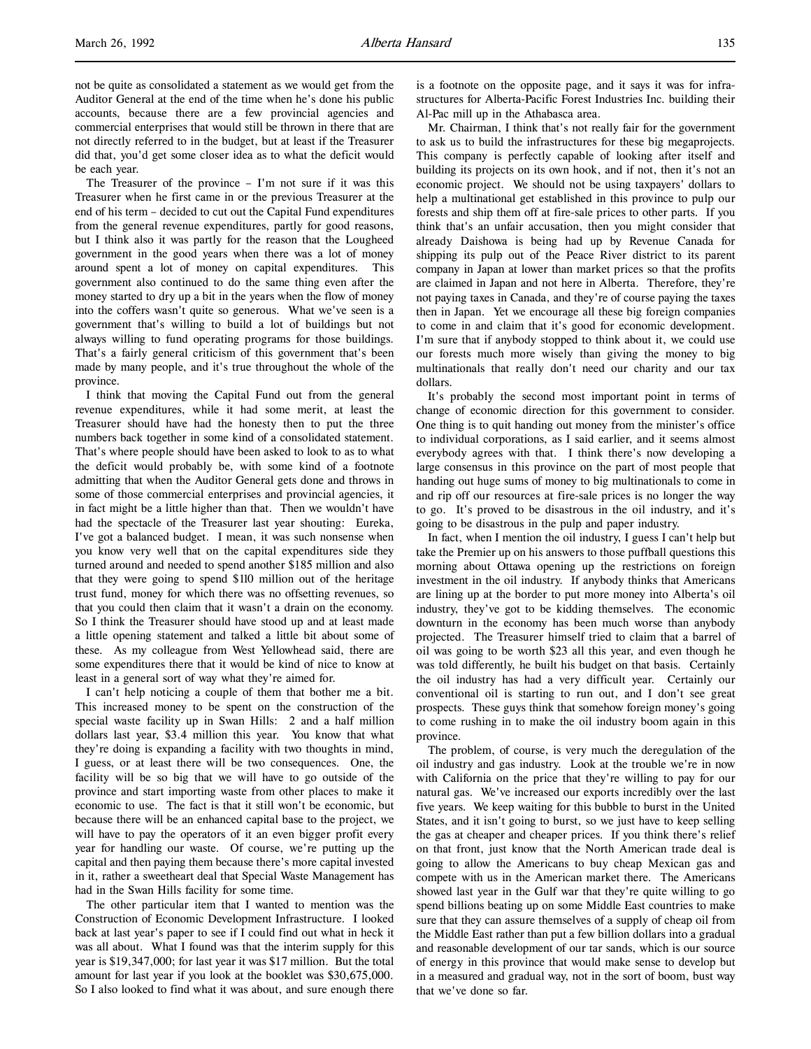not be quite as consolidated a statement as we would get from the Auditor General at the end of the time when he's done his public accounts, because there are a few provincial agencies and commercial enterprises that would still be thrown in there that are not directly referred to in the budget, but at least if the Treasurer did that, you'd get some closer idea as to what the deficit would be each year.

The Treasurer of the province – I'm not sure if it was this Treasurer when he first came in or the previous Treasurer at the end of his term – decided to cut out the Capital Fund expenditures from the general revenue expenditures, partly for good reasons, but I think also it was partly for the reason that the Lougheed government in the good years when there was a lot of money around spent a lot of money on capital expenditures. This government also continued to do the same thing even after the money started to dry up a bit in the years when the flow of money into the coffers wasn't quite so generous. What we've seen is a government that's willing to build a lot of buildings but not always willing to fund operating programs for those buildings. That's a fairly general criticism of this government that's been made by many people, and it's true throughout the whole of the province.

I think that moving the Capital Fund out from the general revenue expenditures, while it had some merit, at least the Treasurer should have had the honesty then to put the three numbers back together in some kind of a consolidated statement. That's where people should have been asked to look to as to what the deficit would probably be, with some kind of a footnote admitting that when the Auditor General gets done and throws in some of those commercial enterprises and provincial agencies, it in fact might be a little higher than that. Then we wouldn't have had the spectacle of the Treasurer last year shouting: Eureka, I've got a balanced budget. I mean, it was such nonsense when you know very well that on the capital expenditures side they turned around and needed to spend another \$185 million and also that they were going to spend \$110 million out of the heritage trust fund, money for which there was no offsetting revenues, so that you could then claim that it wasn't a drain on the economy. So I think the Treasurer should have stood up and at least made a little opening statement and talked a little bit about some of these. As my colleague from West Yellowhead said, there are some expenditures there that it would be kind of nice to know at least in a general sort of way what they're aimed for.

I can't help noticing a couple of them that bother me a bit. This increased money to be spent on the construction of the special waste facility up in Swan Hills: 2 and a half million dollars last year, \$3.4 million this year. You know that what they're doing is expanding a facility with two thoughts in mind, I guess, or at least there will be two consequences. One, the facility will be so big that we will have to go outside of the province and start importing waste from other places to make it economic to use. The fact is that it still won't be economic, but because there will be an enhanced capital base to the project, we will have to pay the operators of it an even bigger profit every year for handling our waste. Of course, we're putting up the capital and then paying them because there's more capital invested in it, rather a sweetheart deal that Special Waste Management has had in the Swan Hills facility for some time.

The other particular item that I wanted to mention was the Construction of Economic Development Infrastructure. I looked back at last year's paper to see if I could find out what in heck it was all about. What I found was that the interim supply for this year is \$19,347,000; for last year it was \$17 million. But the total amount for last year if you look at the booklet was \$30,675,000. So I also looked to find what it was about, and sure enough there

is a footnote on the opposite page, and it says it was for infrastructures for Alberta-Pacific Forest Industries Inc. building their Al-Pac mill up in the Athabasca area.

Mr. Chairman, I think that's not really fair for the government to ask us to build the infrastructures for these big megaprojects. This company is perfectly capable of looking after itself and building its projects on its own hook, and if not, then it's not an economic project. We should not be using taxpayers' dollars to help a multinational get established in this province to pulp our forests and ship them off at fire-sale prices to other parts. If you think that's an unfair accusation, then you might consider that already Daishowa is being had up by Revenue Canada for shipping its pulp out of the Peace River district to its parent company in Japan at lower than market prices so that the profits are claimed in Japan and not here in Alberta. Therefore, they're not paying taxes in Canada, and they're of course paying the taxes then in Japan. Yet we encourage all these big foreign companies to come in and claim that it's good for economic development. I'm sure that if anybody stopped to think about it, we could use our forests much more wisely than giving the money to big multinationals that really don't need our charity and our tax dollars.

It's probably the second most important point in terms of change of economic direction for this government to consider. One thing is to quit handing out money from the minister's office to individual corporations, as I said earlier, and it seems almost everybody agrees with that. I think there's now developing a large consensus in this province on the part of most people that handing out huge sums of money to big multinationals to come in and rip off our resources at fire-sale prices is no longer the way to go. It's proved to be disastrous in the oil industry, and it's going to be disastrous in the pulp and paper industry.

In fact, when I mention the oil industry, I guess I can't help but take the Premier up on his answers to those puffball questions this morning about Ottawa opening up the restrictions on foreign investment in the oil industry. If anybody thinks that Americans are lining up at the border to put more money into Alberta's oil industry, they've got to be kidding themselves. The economic downturn in the economy has been much worse than anybody projected. The Treasurer himself tried to claim that a barrel of oil was going to be worth \$23 all this year, and even though he was told differently, he built his budget on that basis. Certainly the oil industry has had a very difficult year. Certainly our conventional oil is starting to run out, and I don't see great prospects. These guys think that somehow foreign money's going to come rushing in to make the oil industry boom again in this province.

The problem, of course, is very much the deregulation of the oil industry and gas industry. Look at the trouble we're in now with California on the price that they're willing to pay for our natural gas. We've increased our exports incredibly over the last five years. We keep waiting for this bubble to burst in the United States, and it isn't going to burst, so we just have to keep selling the gas at cheaper and cheaper prices. If you think there's relief on that front, just know that the North American trade deal is going to allow the Americans to buy cheap Mexican gas and compete with us in the American market there. The Americans showed last year in the Gulf war that they're quite willing to go spend billions beating up on some Middle East countries to make sure that they can assure themselves of a supply of cheap oil from the Middle East rather than put a few billion dollars into a gradual and reasonable development of our tar sands, which is our source of energy in this province that would make sense to develop but in a measured and gradual way, not in the sort of boom, bust way that we've done so far.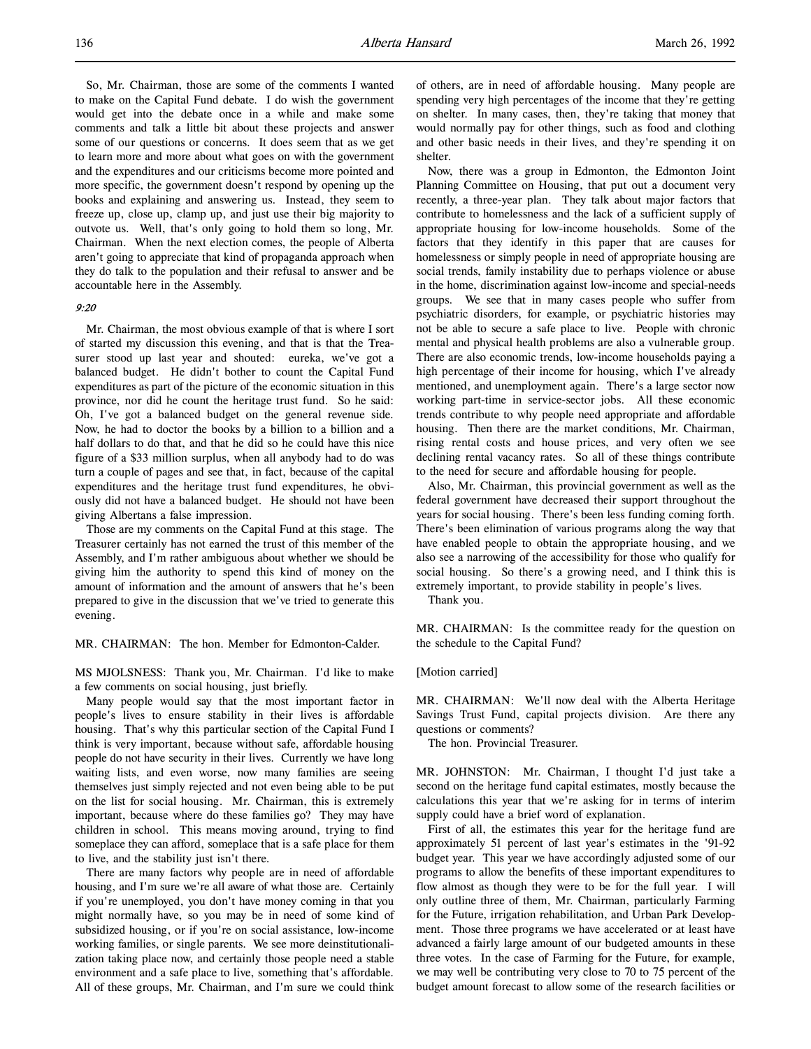So, Mr. Chairman, those are some of the comments I wanted to make on the Capital Fund debate. I do wish the government would get into the debate once in a while and make some comments and talk a little bit about these projects and answer some of our questions or concerns. It does seem that as we get to learn more and more about what goes on with the government and the expenditures and our criticisms become more pointed and more specific, the government doesn't respond by opening up the books and explaining and answering us. Instead, they seem to freeze up, close up, clamp up, and just use their big majority to outvote us. Well, that's only going to hold them so long, Mr. Chairman. When the next election comes, the people of Alberta aren't going to appreciate that kind of propaganda approach when they do talk to the population and their refusal to answer and be accountable here in the Assembly.

## 9:20

Mr. Chairman, the most obvious example of that is where I sort of started my discussion this evening, and that is that the Treasurer stood up last year and shouted: eureka, we've got a balanced budget. He didn't bother to count the Capital Fund expenditures as part of the picture of the economic situation in this province, nor did he count the heritage trust fund. So he said: Oh, I've got a balanced budget on the general revenue side. Now, he had to doctor the books by a billion to a billion and a half dollars to do that, and that he did so he could have this nice figure of a \$33 million surplus, when all anybody had to do was turn a couple of pages and see that, in fact, because of the capital expenditures and the heritage trust fund expenditures, he obviously did not have a balanced budget. He should not have been giving Albertans a false impression.

Those are my comments on the Capital Fund at this stage. The Treasurer certainly has not earned the trust of this member of the Assembly, and I'm rather ambiguous about whether we should be giving him the authority to spend this kind of money on the amount of information and the amount of answers that he's been prepared to give in the discussion that we've tried to generate this evening.

MR. CHAIRMAN: The hon. Member for Edmonton-Calder.

MS MJOLSNESS: Thank you, Mr. Chairman. I'd like to make a few comments on social housing, just briefly.

Many people would say that the most important factor in people's lives to ensure stability in their lives is affordable housing. That's why this particular section of the Capital Fund I think is very important, because without safe, affordable housing people do not have security in their lives. Currently we have long waiting lists, and even worse, now many families are seeing themselves just simply rejected and not even being able to be put on the list for social housing. Mr. Chairman, this is extremely important, because where do these families go? They may have children in school. This means moving around, trying to find someplace they can afford, someplace that is a safe place for them to live, and the stability just isn't there.

There are many factors why people are in need of affordable housing, and I'm sure we're all aware of what those are. Certainly if you're unemployed, you don't have money coming in that you might normally have, so you may be in need of some kind of subsidized housing, or if you're on social assistance, low-income working families, or single parents. We see more deinstitutionalization taking place now, and certainly those people need a stable environment and a safe place to live, something that's affordable. All of these groups, Mr. Chairman, and I'm sure we could think

of others, are in need of affordable housing. Many people are spending very high percentages of the income that they're getting on shelter. In many cases, then, they're taking that money that would normally pay for other things, such as food and clothing and other basic needs in their lives, and they're spending it on shelter.

Now, there was a group in Edmonton, the Edmonton Joint Planning Committee on Housing, that put out a document very recently, a three-year plan. They talk about major factors that contribute to homelessness and the lack of a sufficient supply of appropriate housing for low-income households. Some of the factors that they identify in this paper that are causes for homelessness or simply people in need of appropriate housing are social trends, family instability due to perhaps violence or abuse in the home, discrimination against low-income and special-needs groups. We see that in many cases people who suffer from psychiatric disorders, for example, or psychiatric histories may not be able to secure a safe place to live. People with chronic mental and physical health problems are also a vulnerable group. There are also economic trends, low-income households paying a high percentage of their income for housing, which I've already mentioned, and unemployment again. There's a large sector now working part-time in service-sector jobs. All these economic trends contribute to why people need appropriate and affordable housing. Then there are the market conditions, Mr. Chairman, rising rental costs and house prices, and very often we see declining rental vacancy rates. So all of these things contribute to the need for secure and affordable housing for people.

Also, Mr. Chairman, this provincial government as well as the federal government have decreased their support throughout the years for social housing. There's been less funding coming forth. There's been elimination of various programs along the way that have enabled people to obtain the appropriate housing, and we also see a narrowing of the accessibility for those who qualify for social housing. So there's a growing need, and I think this is extremely important, to provide stability in people's lives.

Thank you.

MR. CHAIRMAN: Is the committee ready for the question on the schedule to the Capital Fund?

#### [Motion carried]

MR. CHAIRMAN: We'll now deal with the Alberta Heritage Savings Trust Fund, capital projects division. Are there any questions or comments?

The hon. Provincial Treasurer.

MR. JOHNSTON: Mr. Chairman, I thought I'd just take a second on the heritage fund capital estimates, mostly because the calculations this year that we're asking for in terms of interim supply could have a brief word of explanation.

First of all, the estimates this year for the heritage fund are approximately 51 percent of last year's estimates in the '91-92 budget year. This year we have accordingly adjusted some of our programs to allow the benefits of these important expenditures to flow almost as though they were to be for the full year. I will only outline three of them, Mr. Chairman, particularly Farming for the Future, irrigation rehabilitation, and Urban Park Development. Those three programs we have accelerated or at least have advanced a fairly large amount of our budgeted amounts in these three votes. In the case of Farming for the Future, for example, we may well be contributing very close to 70 to 75 percent of the budget amount forecast to allow some of the research facilities or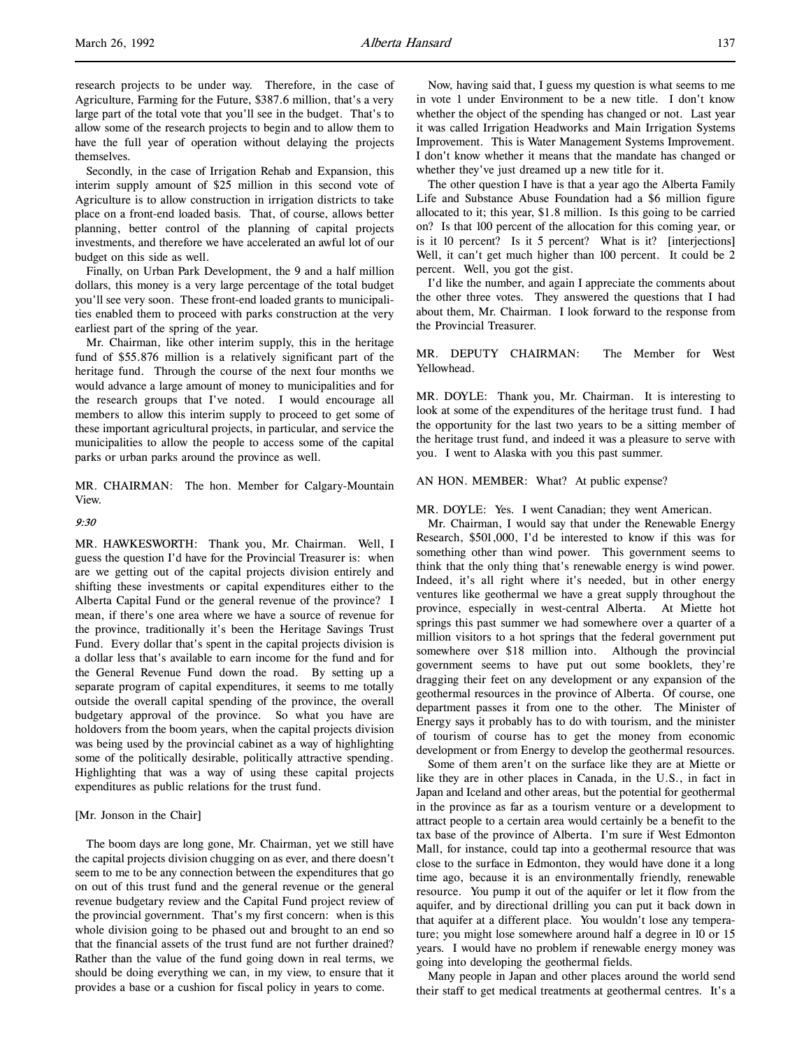l,

Secondly, in the case of Irrigation Rehab and Expansion, this interim supply amount of \$25 million in this second vote of Agriculture is to allow construction in irrigation districts to take place on a front-end loaded basis. That, of course, allows better planning, better control of the planning of capital projects investments, and therefore we have accelerated an awful lot of our budget on this side as well.

Finally, on Urban Park Development, the 9 and a half million dollars, this money is a very large percentage of the total budget you'll see very soon. These front-end loaded grants to municipalities enabled them to proceed with parks construction at the very earliest part of the spring of the year.

Mr. Chairman, like other interim supply, this in the heritage fund of \$55.876 million is a relatively significant part of the heritage fund. Through the course of the next four months we would advance a large amount of money to municipalities and for the research groups that I've noted. I would encourage all members to allow this interim supply to proceed to get some of these important agricultural projects, in particular, and service the municipalities to allow the people to access some of the capital parks or urban parks around the province as well.

MR. CHAIRMAN: The hon. Member for Calgary-Mountain View.

# $9.30$

MR. HAWKESWORTH: Thank you, Mr. Chairman. Well, I guess the question I'd have for the Provincial Treasurer is: when are we getting out of the capital projects division entirely and shifting these investments or capital expenditures either to the Alberta Capital Fund or the general revenue of the province? I mean, if there's one area where we have a source of revenue for the province, traditionally it's been the Heritage Savings Trust Fund. Every dollar that's spent in the capital projects division is a dollar less that's available to earn income for the fund and for the General Revenue Fund down the road. By setting up a separate program of capital expenditures, it seems to me totally outside the overall capital spending of the province, the overall budgetary approval of the province. So what you have are holdovers from the boom years, when the capital projects division was being used by the provincial cabinet as a way of highlighting some of the politically desirable, politically attractive spending. Highlighting that was a way of using these capital projects expenditures as public relations for the trust fund.

# [Mr. Jonson in the Chair]

The boom days are long gone, Mr. Chairman, yet we still have the capital projects division chugging on as ever, and there doesn't seem to me to be any connection between the expenditures that go on out of this trust fund and the general revenue or the general revenue budgetary review and the Capital Fund project review of the provincial government. That's my first concern: when is this whole division going to be phased out and brought to an end so that the financial assets of the trust fund are not further drained? Rather than the value of the fund going down in real terms, we should be doing everything we can, in my view, to ensure that it provides a base or a cushion for fiscal policy in years to come.

Now, having said that, I guess my question is what seems to me in vote 1 under Environment to be a new title. I don't know whether the object of the spending has changed or not. Last year it was called Irrigation Headworks and Main Irrigation Systems Improvement. This is Water Management Systems Improvement. I don't know whether it means that the mandate has changed or whether they've just dreamed up a new title for it.

The other question I have is that a year ago the Alberta Family Life and Substance Abuse Foundation had a \$6 million figure allocated to it; this year, \$1.8 million. Is this going to be carried on? Is that 100 percent of the allocation for this coming year, or is it 10 percent? Is it 5 percent? What is it? [interjections] Well, it can't get much higher than 100 percent. It could be 2 percent. Well, you got the gist.

I'd like the number, and again I appreciate the comments about the other three votes. They answered the questions that I had about them, Mr. Chairman. I look forward to the response from the Provincial Treasurer.

MR. DEPUTY CHAIRMAN: The Member for West Yellowhead.

MR. DOYLE: Thank you, Mr. Chairman. It is interesting to look at some of the expenditures of the heritage trust fund. I had the opportunity for the last two years to be a sitting member of the heritage trust fund, and indeed it was a pleasure to serve with you. I went to Alaska with you this past summer.

## AN HON. MEMBER: What? At public expense?

MR. DOYLE: Yes. I went Canadian; they went American.

Mr. Chairman, I would say that under the Renewable Energy Research, \$501,000, I'd be interested to know if this was for something other than wind power. This government seems to think that the only thing that's renewable energy is wind power. Indeed, it's all right where it's needed, but in other energy ventures like geothermal we have a great supply throughout the province, especially in west-central Alberta. At Miette hot springs this past summer we had somewhere over a quarter of a million visitors to a hot springs that the federal government put somewhere over \$18 million into. Although the provincial government seems to have put out some booklets, they're dragging their feet on any development or any expansion of the geothermal resources in the province of Alberta. Of course, one department passes it from one to the other. The Minister of Energy says it probably has to do with tourism, and the minister of tourism of course has to get the money from economic development or from Energy to develop the geothermal resources.

Some of them aren't on the surface like they are at Miette or like they are in other places in Canada, in the U.S., in fact in Japan and Iceland and other areas, but the potential for geothermal in the province as far as a tourism venture or a development to attract people to a certain area would certainly be a benefit to the tax base of the province of Alberta. I'm sure if West Edmonton Mall, for instance, could tap into a geothermal resource that was close to the surface in Edmonton, they would have done it a long time ago, because it is an environmentally friendly, renewable resource. You pump it out of the aquifer or let it flow from the aquifer, and by directional drilling you can put it back down in that aquifer at a different place. You wouldn't lose any temperature; you might lose somewhere around half a degree in 10 or 15 years. I would have no problem if renewable energy money was going into developing the geothermal fields.

Many people in Japan and other places around the world send their staff to get medical treatments at geothermal centres. It's a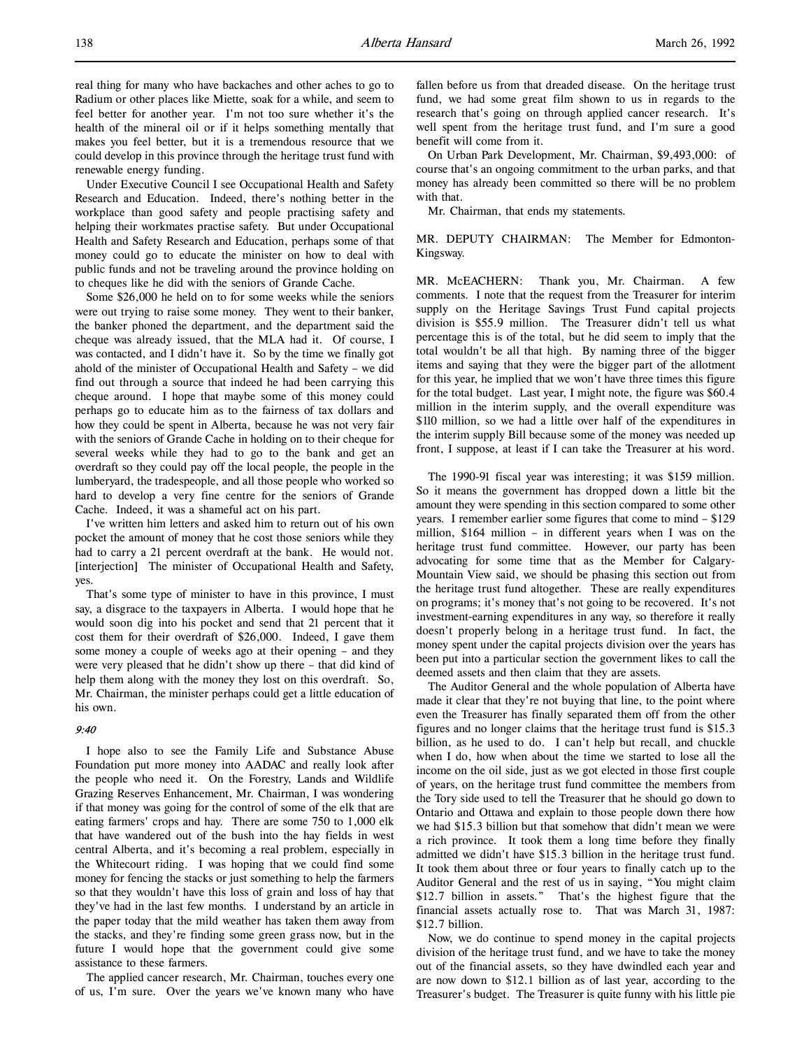real thing for many who have backaches and other aches to go to Radium or other places like Miette, soak for a while, and seem to feel better for another year. I'm not too sure whether it's the health of the mineral oil or if it helps something mentally that makes you feel better, but it is a tremendous resource that we could develop in this province through the heritage trust fund with renewable energy funding.

Under Executive Council I see Occupational Health and Safety Research and Education. Indeed, there's nothing better in the workplace than good safety and people practising safety and helping their workmates practise safety. But under Occupational Health and Safety Research and Education, perhaps some of that money could go to educate the minister on how to deal with public funds and not be traveling around the province holding on to cheques like he did with the seniors of Grande Cache.

Some \$26,000 he held on to for some weeks while the seniors were out trying to raise some money. They went to their banker, the banker phoned the department, and the department said the cheque was already issued, that the MLA had it. Of course, I was contacted, and I didn't have it. So by the time we finally got ahold of the minister of Occupational Health and Safety – we did find out through a source that indeed he had been carrying this cheque around. I hope that maybe some of this money could perhaps go to educate him as to the fairness of tax dollars and how they could be spent in Alberta, because he was not very fair with the seniors of Grande Cache in holding on to their cheque for several weeks while they had to go to the bank and get an overdraft so they could pay off the local people, the people in the lumberyard, the tradespeople, and all those people who worked so hard to develop a very fine centre for the seniors of Grande Cache. Indeed, it was a shameful act on his part.

I've written him letters and asked him to return out of his own pocket the amount of money that he cost those seniors while they had to carry a 21 percent overdraft at the bank. He would not. [interjection] The minister of Occupational Health and Safety, yes.

That's some type of minister to have in this province, I must say, a disgrace to the taxpayers in Alberta. I would hope that he would soon dig into his pocket and send that 21 percent that it cost them for their overdraft of \$26,000. Indeed, I gave them some money a couple of weeks ago at their opening – and they were very pleased that he didn't show up there – that did kind of help them along with the money they lost on this overdraft. So, Mr. Chairman, the minister perhaps could get a little education of his own.

## 9:40

I hope also to see the Family Life and Substance Abuse Foundation put more money into AADAC and really look after the people who need it. On the Forestry, Lands and Wildlife Grazing Reserves Enhancement, Mr. Chairman, I was wondering if that money was going for the control of some of the elk that are eating farmers' crops and hay. There are some 750 to 1,000 elk that have wandered out of the bush into the hay fields in west central Alberta, and it's becoming a real problem, especially in the Whitecourt riding. I was hoping that we could find some money for fencing the stacks or just something to help the farmers so that they wouldn't have this loss of grain and loss of hay that they've had in the last few months. I understand by an article in the paper today that the mild weather has taken them away from the stacks, and they're finding some green grass now, but in the future I would hope that the government could give some assistance to these farmers.

The applied cancer research, Mr. Chairman, touches every one of us, I'm sure. Over the years we've known many who have fallen before us from that dreaded disease. On the heritage trust fund, we had some great film shown to us in regards to the research that's going on through applied cancer research. It's well spent from the heritage trust fund, and I'm sure a good benefit will come from it.

On Urban Park Development, Mr. Chairman, \$9,493,000: of course that's an ongoing commitment to the urban parks, and that money has already been committed so there will be no problem with that.

Mr. Chairman, that ends my statements.

MR. DEPUTY CHAIRMAN: The Member for Edmonton-Kingsway.

MR. McEACHERN: Thank you, Mr. Chairman. A few comments. I note that the request from the Treasurer for interim supply on the Heritage Savings Trust Fund capital projects division is \$55.9 million. The Treasurer didn't tell us what percentage this is of the total, but he did seem to imply that the total wouldn't be all that high. By naming three of the bigger items and saying that they were the bigger part of the allotment for this year, he implied that we won't have three times this figure for the total budget. Last year, I might note, the figure was \$60.4 million in the interim supply, and the overall expenditure was \$110 million, so we had a little over half of the expenditures in the interim supply Bill because some of the money was needed up front, I suppose, at least if I can take the Treasurer at his word.

The 1990-91 fiscal year was interesting; it was \$159 million. So it means the government has dropped down a little bit the amount they were spending in this section compared to some other years. I remember earlier some figures that come to mind – \$129 million, \$164 million – in different years when I was on the heritage trust fund committee. However, our party has been advocating for some time that as the Member for Calgary-Mountain View said, we should be phasing this section out from the heritage trust fund altogether. These are really expenditures on programs; it's money that's not going to be recovered. It's not investment-earning expenditures in any way, so therefore it really doesn't properly belong in a heritage trust fund. In fact, the money spent under the capital projects division over the years has been put into a particular section the government likes to call the deemed assets and then claim that they are assets.

The Auditor General and the whole population of Alberta have made it clear that they're not buying that line, to the point where even the Treasurer has finally separated them off from the other figures and no longer claims that the heritage trust fund is \$15.3 billion, as he used to do. I can't help but recall, and chuckle when I do, how when about the time we started to lose all the income on the oil side, just as we got elected in those first couple of years, on the heritage trust fund committee the members from the Tory side used to tell the Treasurer that he should go down to Ontario and Ottawa and explain to those people down there how we had \$15.3 billion but that somehow that didn't mean we were a rich province. It took them a long time before they finally admitted we didn't have \$15.3 billion in the heritage trust fund. It took them about three or four years to finally catch up to the Auditor General and the rest of us in saying, "You might claim \$12.7 billion in assets." That's the highest figure that the financial assets actually rose to. That was March 31, 1987: \$12.7 billion.

Now, we do continue to spend money in the capital projects division of the heritage trust fund, and we have to take the money out of the financial assets, so they have dwindled each year and are now down to \$12.1 billion as of last year, according to the Treasurer's budget. The Treasurer is quite funny with his little pie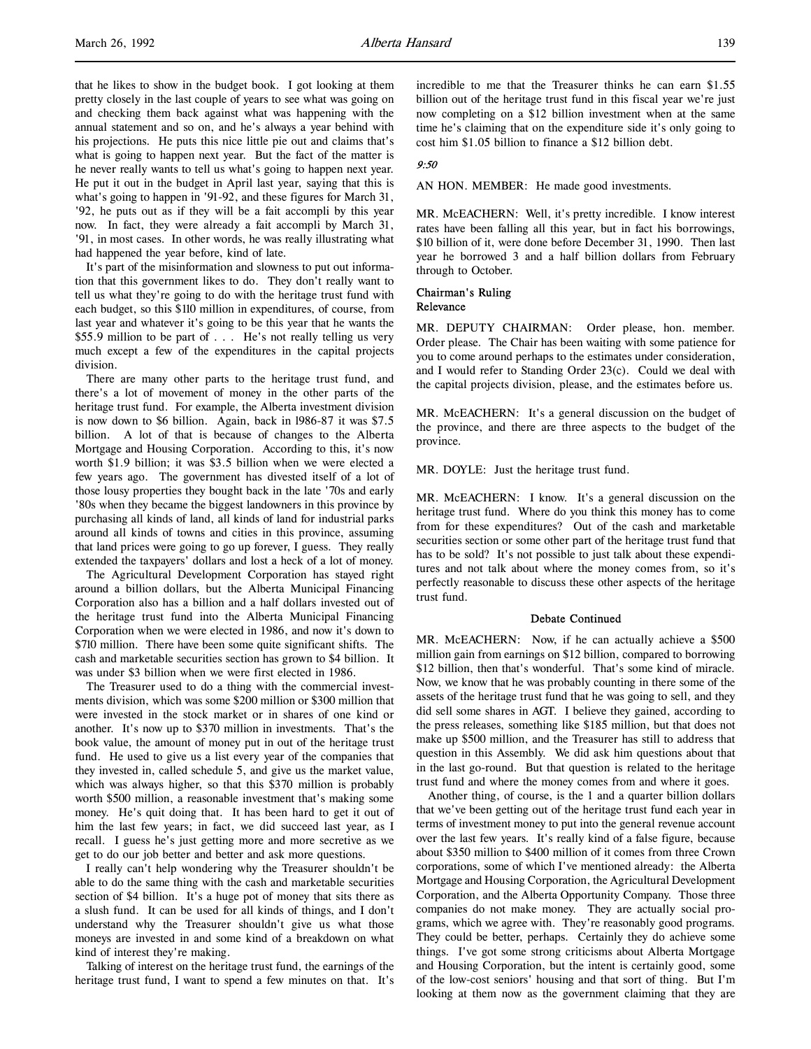that he likes to show in the budget book. I got looking at them pretty closely in the last couple of years to see what was going on and checking them back against what was happening with the annual statement and so on, and he's always a year behind with his projections. He puts this nice little pie out and claims that's what is going to happen next year. But the fact of the matter is he never really wants to tell us what's going to happen next year. He put it out in the budget in April last year, saying that this is what's going to happen in '91-92, and these figures for March 31, '92, he puts out as if they will be a fait accompli by this year now. In fact, they were already a fait accompli by March 31, '91, in most cases. In other words, he was really illustrating what had happened the year before, kind of late.

It's part of the misinformation and slowness to put out information that this government likes to do. They don't really want to tell us what they're going to do with the heritage trust fund with each budget, so this \$110 million in expenditures, of course, from last year and whatever it's going to be this year that he wants the \$55.9 million to be part of . . . He's not really telling us very much except a few of the expenditures in the capital projects division.

There are many other parts to the heritage trust fund, and there's a lot of movement of money in the other parts of the heritage trust fund. For example, the Alberta investment division is now down to \$6 billion. Again, back in l986-87 it was \$7.5 billion. A lot of that is because of changes to the Alberta Mortgage and Housing Corporation. According to this, it's now worth \$1.9 billion; it was \$3.5 billion when we were elected a few years ago. The government has divested itself of a lot of those lousy properties they bought back in the late '70s and early '80s when they became the biggest landowners in this province by purchasing all kinds of land, all kinds of land for industrial parks around all kinds of towns and cities in this province, assuming that land prices were going to go up forever, I guess. They really extended the taxpayers' dollars and lost a heck of a lot of money.

The Agricultural Development Corporation has stayed right around a billion dollars, but the Alberta Municipal Financing Corporation also has a billion and a half dollars invested out of the heritage trust fund into the Alberta Municipal Financing Corporation when we were elected in 1986, and now it's down to \$710 million. There have been some quite significant shifts. The cash and marketable securities section has grown to \$4 billion. It was under \$3 billion when we were first elected in 1986.

The Treasurer used to do a thing with the commercial investments division, which was some \$200 million or \$300 million that were invested in the stock market or in shares of one kind or another. It's now up to \$370 million in investments. That's the book value, the amount of money put in out of the heritage trust fund. He used to give us a list every year of the companies that they invested in, called schedule 5, and give us the market value, which was always higher, so that this \$370 million is probably worth \$500 million, a reasonable investment that's making some money. He's quit doing that. It has been hard to get it out of him the last few years; in fact, we did succeed last year, as I recall. I guess he's just getting more and more secretive as we get to do our job better and better and ask more questions.

I really can't help wondering why the Treasurer shouldn't be able to do the same thing with the cash and marketable securities section of \$4 billion. It's a huge pot of money that sits there as a slush fund. It can be used for all kinds of things, and I don't understand why the Treasurer shouldn't give us what those moneys are invested in and some kind of a breakdown on what kind of interest they're making.

Talking of interest on the heritage trust fund, the earnings of the heritage trust fund, I want to spend a few minutes on that. It's incredible to me that the Treasurer thinks he can earn \$1.55 billion out of the heritage trust fund in this fiscal year we're just now completing on a \$12 billion investment when at the same time he's claiming that on the expenditure side it's only going to cost him \$1.05 billion to finance a \$12 billion debt.

## $9.50$

AN HON. MEMBER: He made good investments.

MR. McEACHERN: Well, it's pretty incredible. I know interest rates have been falling all this year, but in fact his borrowings, \$10 billion of it, were done before December 31, 1990. Then last year he borrowed 3 and a half billion dollars from February through to October.

# Chairman's Ruling

Relevance

MR. DEPUTY CHAIRMAN: Order please, hon. member. Order please. The Chair has been waiting with some patience for you to come around perhaps to the estimates under consideration, and I would refer to Standing Order 23(c). Could we deal with the capital projects division, please, and the estimates before us.

MR. McEACHERN: It's a general discussion on the budget of the province, and there are three aspects to the budget of the province.

MR. DOYLE: Just the heritage trust fund.

MR. McEACHERN: I know. It's a general discussion on the heritage trust fund. Where do you think this money has to come from for these expenditures? Out of the cash and marketable securities section or some other part of the heritage trust fund that has to be sold? It's not possible to just talk about these expenditures and not talk about where the money comes from, so it's perfectly reasonable to discuss these other aspects of the heritage trust fund.

# Debate Continued

MR. McEACHERN: Now, if he can actually achieve a \$500 million gain from earnings on \$12 billion, compared to borrowing \$12 billion, then that's wonderful. That's some kind of miracle. Now, we know that he was probably counting in there some of the assets of the heritage trust fund that he was going to sell, and they did sell some shares in AGT. I believe they gained, according to the press releases, something like \$185 million, but that does not make up \$500 million, and the Treasurer has still to address that question in this Assembly. We did ask him questions about that in the last go-round. But that question is related to the heritage trust fund and where the money comes from and where it goes.

Another thing, of course, is the 1 and a quarter billion dollars that we've been getting out of the heritage trust fund each year in terms of investment money to put into the general revenue account over the last few years. It's really kind of a false figure, because about \$350 million to \$400 million of it comes from three Crown corporations, some of which I've mentioned already: the Alberta Mortgage and Housing Corporation, the Agricultural Development Corporation, and the Alberta Opportunity Company. Those three companies do not make money. They are actually social programs, which we agree with. They're reasonably good programs. They could be better, perhaps. Certainly they do achieve some things. I've got some strong criticisms about Alberta Mortgage and Housing Corporation, but the intent is certainly good, some of the low-cost seniors' housing and that sort of thing. But I'm looking at them now as the government claiming that they are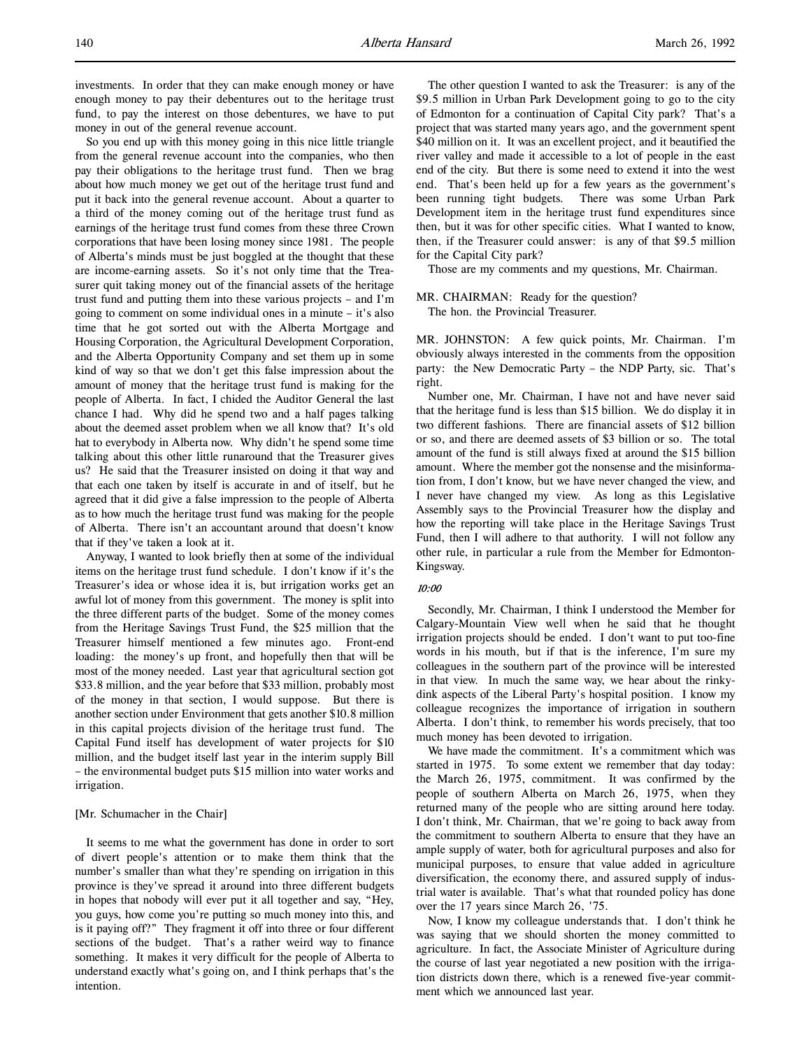So you end up with this money going in this nice little triangle from the general revenue account into the companies, who then pay their obligations to the heritage trust fund. Then we brag about how much money we get out of the heritage trust fund and put it back into the general revenue account. About a quarter to a third of the money coming out of the heritage trust fund as earnings of the heritage trust fund comes from these three Crown corporations that have been losing money since 1981. The people of Alberta's minds must be just boggled at the thought that these are income-earning assets. So it's not only time that the Treasurer quit taking money out of the financial assets of the heritage trust fund and putting them into these various projects – and I'm going to comment on some individual ones in a minute – it's also time that he got sorted out with the Alberta Mortgage and Housing Corporation, the Agricultural Development Corporation, and the Alberta Opportunity Company and set them up in some kind of way so that we don't get this false impression about the amount of money that the heritage trust fund is making for the people of Alberta. In fact, I chided the Auditor General the last chance I had. Why did he spend two and a half pages talking about the deemed asset problem when we all know that? It's old hat to everybody in Alberta now. Why didn't he spend some time talking about this other little runaround that the Treasurer gives us? He said that the Treasurer insisted on doing it that way and that each one taken by itself is accurate in and of itself, but he agreed that it did give a false impression to the people of Alberta as to how much the heritage trust fund was making for the people of Alberta. There isn't an accountant around that doesn't know that if they've taken a look at it.

Anyway, I wanted to look briefly then at some of the individual items on the heritage trust fund schedule. I don't know if it's the Treasurer's idea or whose idea it is, but irrigation works get an awful lot of money from this government. The money is split into the three different parts of the budget. Some of the money comes from the Heritage Savings Trust Fund, the \$25 million that the Treasurer himself mentioned a few minutes ago. Front-end loading: the money's up front, and hopefully then that will be most of the money needed. Last year that agricultural section got \$33.8 million, and the year before that \$33 million, probably most of the money in that section, I would suppose. But there is another section under Environment that gets another \$10.8 million in this capital projects division of the heritage trust fund. The Capital Fund itself has development of water projects for \$10 million, and the budget itself last year in the interim supply Bill – the environmental budget puts \$15 million into water works and irrigation.

# [Mr. Schumacher in the Chair]

It seems to me what the government has done in order to sort of divert people's attention or to make them think that the number's smaller than what they're spending on irrigation in this province is they've spread it around into three different budgets in hopes that nobody will ever put it all together and say, "Hey, you guys, how come you're putting so much money into this, and is it paying off?" They fragment it off into three or four different sections of the budget. That's a rather weird way to finance something. It makes it very difficult for the people of Alberta to understand exactly what's going on, and I think perhaps that's the intention.

The other question I wanted to ask the Treasurer: is any of the \$9.5 million in Urban Park Development going to go to the city of Edmonton for a continuation of Capital City park? That's a project that was started many years ago, and the government spent \$40 million on it. It was an excellent project, and it beautified the river valley and made it accessible to a lot of people in the east end of the city. But there is some need to extend it into the west end. That's been held up for a few years as the government's been running tight budgets. There was some Urban Park Development item in the heritage trust fund expenditures since then, but it was for other specific cities. What I wanted to know, then, if the Treasurer could answer: is any of that \$9.5 million for the Capital City park?

Those are my comments and my questions, Mr. Chairman.

## MR. CHAIRMAN: Ready for the question?

The hon. the Provincial Treasurer.

MR. JOHNSTON: A few quick points, Mr. Chairman. I'm obviously always interested in the comments from the opposition party: the New Democratic Party – the NDP Party, sic. That's right.

Number one, Mr. Chairman, I have not and have never said that the heritage fund is less than \$15 billion. We do display it in two different fashions. There are financial assets of \$12 billion or so, and there are deemed assets of \$3 billion or so. The total amount of the fund is still always fixed at around the \$15 billion amount. Where the member got the nonsense and the misinformation from, I don't know, but we have never changed the view, and I never have changed my view. As long as this Legislative Assembly says to the Provincial Treasurer how the display and how the reporting will take place in the Heritage Savings Trust Fund, then I will adhere to that authority. I will not follow any other rule, in particular a rule from the Member for Edmonton-Kingsway.

# 10:00

Secondly, Mr. Chairman, I think I understood the Member for Calgary-Mountain View well when he said that he thought irrigation projects should be ended. I don't want to put too-fine words in his mouth, but if that is the inference, I'm sure my colleagues in the southern part of the province will be interested in that view. In much the same way, we hear about the rinkydink aspects of the Liberal Party's hospital position. I know my colleague recognizes the importance of irrigation in southern Alberta. I don't think, to remember his words precisely, that too much money has been devoted to irrigation.

We have made the commitment. It's a commitment which was started in 1975. To some extent we remember that day today: the March 26, 1975, commitment. It was confirmed by the people of southern Alberta on March 26, 1975, when they returned many of the people who are sitting around here today. I don't think, Mr. Chairman, that we're going to back away from the commitment to southern Alberta to ensure that they have an ample supply of water, both for agricultural purposes and also for municipal purposes, to ensure that value added in agriculture diversification, the economy there, and assured supply of industrial water is available. That's what that rounded policy has done over the 17 years since March 26, '75.

Now, I know my colleague understands that. I don't think he was saying that we should shorten the money committed to agriculture. In fact, the Associate Minister of Agriculture during the course of last year negotiated a new position with the irrigation districts down there, which is a renewed five-year commitment which we announced last year.